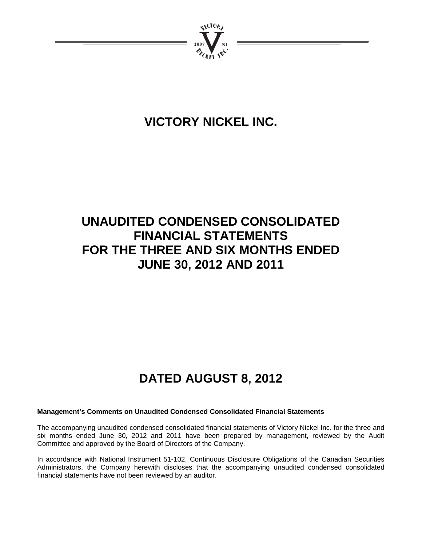

# **VICTORY NICKEL INC.**

# **UNAUDITED CONDENSED CONSOLIDATED FINANCIAL STATEMENTS FOR THE THREE AND SIX MONTHS ENDED JUNE 30, 2012 AND 2011**

# **DATED AUGUST 8, 2012**

### **Management's Comments on Unaudited Condensed Consolidated Financial Statements**

The accompanying unaudited condensed consolidated financial statements of Victory Nickel Inc. for the three and six months ended June 30, 2012 and 2011 have been prepared by management, reviewed by the Audit Committee and approved by the Board of Directors of the Company.

In accordance with National Instrument 51-102, Continuous Disclosure Obligations of the Canadian Securities Administrators, the Company herewith discloses that the accompanying unaudited condensed consolidated financial statements have not been reviewed by an auditor.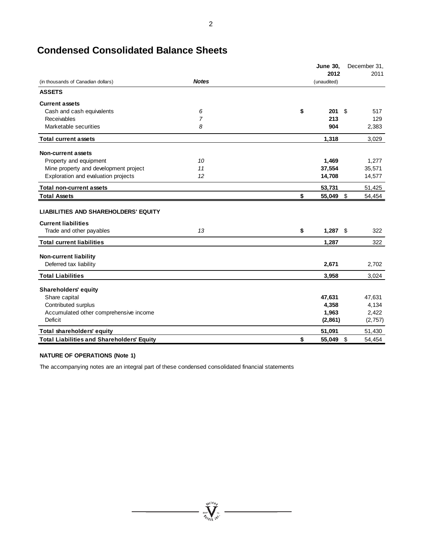# **Condensed Consolidated Balance Sheets**

|                                                                           |                | <b>June 30,</b>    | December 31, |
|---------------------------------------------------------------------------|----------------|--------------------|--------------|
|                                                                           |                | 2012               | 2011         |
| (in thousands of Canadian dollars)                                        | <b>Notes</b>   | (unaudited)        |              |
| <b>ASSETS</b>                                                             |                |                    |              |
| <b>Current assets</b>                                                     |                |                    |              |
| Cash and cash equivalents                                                 | 6              | \$<br>201<br>\$    | 517          |
| Receivables                                                               | $\overline{7}$ | 213                | 129          |
| Marketable securities                                                     | 8              | 904                | 2,383        |
| <b>Total current assets</b>                                               |                | 1,318              | 3,029        |
| Non-current assets                                                        |                |                    |              |
| Property and equipment                                                    | 10             | 1,469              | 1,277        |
| Mine property and development project                                     | 11             | 37,554             | 35,571       |
| Exploration and evaluation projects                                       | 12             | 14,708             | 14,577       |
| <b>Total non-current assets</b>                                           |                | 53,731             | 51,425       |
| <b>Total Assets</b>                                                       |                | \$<br>\$<br>55,049 | 54,454       |
| <b>LIABILITIES AND SHAREHOLDERS' EQUITY</b><br><b>Current liabilities</b> |                |                    |              |
| Trade and other payables                                                  | 13             | \$<br>$1,287$ \$   | 322          |
| <b>Total current liabilities</b>                                          |                | 1,287              | 322          |
| <b>Non-current liability</b>                                              |                |                    |              |
| Deferred tax liability                                                    |                | 2,671              | 2,702        |
| <b>Total Liabilities</b>                                                  |                | 3,958              | 3,024        |
| <b>Shareholders' equity</b>                                               |                |                    |              |
| Share capital                                                             |                | 47,631             | 47,631       |
| Contributed surplus                                                       |                | 4,358              | 4,134        |
| Accumulated other comprehensive income                                    |                | 1,963              | 2,422        |
| Deficit                                                                   |                | (2,861)            | (2,757)      |
| Total shareholders' equity                                                |                | 51,091             | 51,430       |
| <b>Total Liabilities and Shareholders' Equity</b>                         |                | \$<br>55,049       | \$<br>54,454 |

 $= \prod_{\mathit{in}_{\ell_{\ell_{\ell}}}}^{\mathit{out}_\ell} \hspace{-1pt} \sum_{\mathit{in}_{\ell_{\ell}}}}$ 

 $\overline{\phantom{0}}$ 

#### **NATURE OF OPERATIONS (Note 1)**

The accompanying notes are an integral part of these condensed consolidated financial statements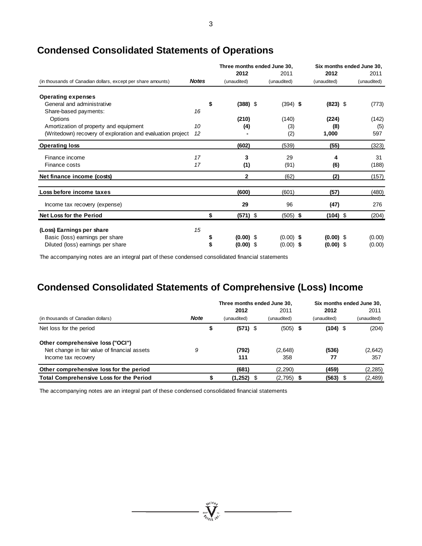|                                                              |              | Three months ended June 30. |                |  |             | Six months ended June 30. |             |  |             |
|--------------------------------------------------------------|--------------|-----------------------------|----------------|--|-------------|---------------------------|-------------|--|-------------|
|                                                              |              |                             | 2012           |  | 2011        |                           | 2012        |  | 2011        |
| (in thousands of Canadian dollars, except per share amounts) | <b>Notes</b> |                             | (unaudited)    |  | (unaudited) |                           | (unaudited) |  | (unaudited) |
| <b>Operating expenses</b>                                    |              |                             |                |  |             |                           |             |  |             |
| General and administrative                                   |              | \$                          | $(388)$ \$     |  | $(394)$ \$  |                           | $(823)$ \$  |  | (773)       |
| Share-based payments:                                        | 16           |                             |                |  |             |                           |             |  |             |
| Options                                                      |              |                             | (210)          |  | (140)       |                           | (224)       |  | (142)       |
| Amortization of property and equipment                       | 10           |                             | (4)            |  | (3)         |                           | (8)         |  | (5)         |
| (Writedown) recovery of exploration and evaluation project   | 12           |                             |                |  | (2)         |                           | 1,000       |  | 597         |
| <b>Operating loss</b>                                        |              |                             | (602)          |  | (539)       |                           | (55)        |  | (323)       |
| Finance income                                               | 17           |                             | 3              |  | 29          |                           | 4           |  | 31          |
| Finance costs                                                | 17           |                             | (1)            |  | (91)        |                           | (6)         |  | (188)       |
| Net finance income (costs)                                   |              |                             | $\overline{2}$ |  | (62)        |                           | (2)         |  | (157)       |
| Loss before income taxes                                     |              |                             | (600)          |  | (601)       |                           | (57)        |  | (480)       |
| Income tax recovery (expense)                                |              |                             | 29             |  | 96          |                           | (47)        |  | 276         |
| <b>Net Loss for the Period</b>                               |              | \$                          | $(571)$ \$     |  | $(505)$ \$  |                           | $(104)$ \$  |  | (204)       |
| (Loss) Earnings per share                                    | 15           |                             |                |  |             |                           |             |  |             |
| Basic (loss) earnings per share                              |              |                             | $(0.00)$ \$    |  | $(0.00)$ \$ |                           | $(0.00)$ \$ |  | (0.00)      |
| Diluted (loss) earnings per share                            |              |                             | $(0.00)$ \$    |  | $(0.00)$ \$ |                           | $(0.00)$ \$ |  | (0.00)      |

# **Condensed Consolidated Statements of Operations**

The accompanying notes are an integral part of these condensed consolidated financial statements

# **Condensed Consolidated Statements of Comprehensive (Loss) Income**

|                                                |             | Three months ended June 30. |  |             |  | Six months ended June 30. |  |             |
|------------------------------------------------|-------------|-----------------------------|--|-------------|--|---------------------------|--|-------------|
|                                                |             | 2012                        |  | 2011        |  | 2012                      |  | 2011        |
| (in thousands of Canadian dollars)             | <b>Note</b> | (unaudited)                 |  | (unaudited) |  | (unaudited)               |  | (unaudited) |
| Net loss for the period                        |             | $(571)$ \$                  |  | $(505)$ \$  |  | $(104)$ \$                |  | (204)       |
| Other comprehensive loss ("OCI")               |             |                             |  |             |  |                           |  |             |
| Net change in fair value of financial assets   | 9           | (792)                       |  | (2,648)     |  | (536)                     |  | (2,642)     |
| Income tax recovery                            |             | 111                         |  | 358         |  | 77                        |  | 357         |
| Other comprehensive loss for the period        |             | (681)                       |  | (2, 290)    |  | (459)                     |  | (2, 285)    |
| <b>Total Comprehensive Loss for the Period</b> |             | $(1,252)$ \$                |  | (2,795)     |  | (563)                     |  | (2,489)     |

The accompanying notes are an integral part of these condensed consolidated financial statements

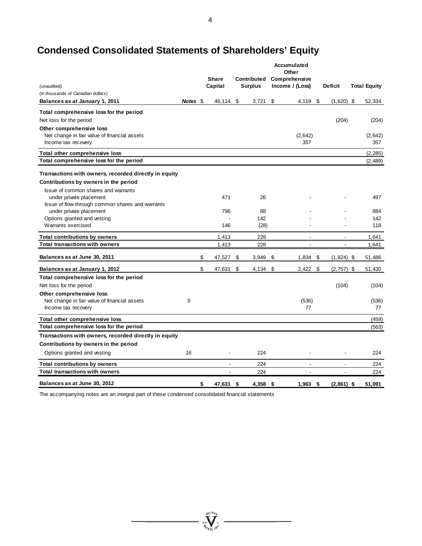# **Condensed Consolidated Statements of Shareholders' Equity**

|                                                                               |          |                         |                               | Accumulated<br>Other             |      |                          |                     |
|-------------------------------------------------------------------------------|----------|-------------------------|-------------------------------|----------------------------------|------|--------------------------|---------------------|
| (unaudited)                                                                   |          | <b>Share</b><br>Capital | Contributed<br><b>Surplus</b> | Comprehensive<br>Income / (Loss) |      | <b>Deficit</b>           | <b>Total Equity</b> |
| (in thousands of Canadian dollars)                                            |          |                         |                               |                                  |      |                          |                     |
| Balances as at January 1, 2011                                                | Notes \$ | 46,114 \$               | 3,721                         | \$<br>4,119 \$                   |      | $(1,620)$ \$             | 52,334              |
| Total comprehensive loss for the period                                       |          |                         |                               |                                  |      |                          |                     |
|                                                                               |          |                         |                               |                                  |      | (204)                    |                     |
| Net loss for the period<br>Other comprehensive loss                           |          |                         |                               |                                  |      |                          | (204)               |
| Net change in fair value of financial assets                                  |          |                         |                               | (2,642)                          |      |                          | (2,642)             |
| Income tax recovery                                                           |          |                         |                               | 357                              |      |                          | 357                 |
| Total other comprehensive loss                                                |          |                         |                               |                                  |      |                          | (2, 285)            |
| Total comprehensive loss for the period                                       |          |                         |                               |                                  |      |                          | (2, 489)            |
| Transactions with owners, recorded directly in equity                         |          |                         |                               |                                  |      |                          |                     |
| Contributions by owners in the period                                         |          |                         |                               |                                  |      |                          |                     |
| Issue of common shares and warrants                                           |          |                         |                               |                                  |      |                          |                     |
| under private placement                                                       |          | 471                     | 26                            |                                  |      |                          | 497                 |
| Issue of flow-through common shares and warrants                              |          |                         |                               |                                  |      |                          |                     |
| under private placement                                                       |          | 796                     | 88                            |                                  |      |                          | 884                 |
| Options granted and vesting<br>Warrants exercised                             |          | 146                     | 142<br>(28)                   |                                  |      |                          | 142<br>118          |
|                                                                               |          |                         |                               |                                  |      |                          |                     |
| <b>Total contributions by owners</b><br><b>Total transactions with owners</b> |          | 1,413<br>1,413          | 228<br>228                    | $\blacksquare$<br>$\overline{a}$ |      | $\overline{\phantom{a}}$ | 1,641               |
|                                                                               |          |                         |                               |                                  |      |                          | 1,641               |
| Balances as at June 30, 2011                                                  |          | \$<br>47,527 \$         | 3,949                         | \$<br>$1,834$ \$                 |      | $(1,824)$ \$             | 51,486              |
| Balances as at January 1, 2012                                                |          | \$<br>47,631            | \$<br>$4,134$ \$              | $2,422$ \$                       |      | $(2,757)$ \$             | 51,430              |
| Total comprehensive loss for the period                                       |          |                         |                               |                                  |      |                          |                     |
| Net loss for the period                                                       |          |                         |                               |                                  |      | (104)                    | (104)               |
| Other comprehensive loss                                                      |          |                         |                               |                                  |      |                          |                     |
| Net change in fair value of financial assets                                  | 9        |                         |                               | (536)<br>77                      |      |                          | (536)<br>77         |
| Income tax recovery                                                           |          |                         |                               |                                  |      |                          |                     |
| Total other comprehensive loss                                                |          |                         |                               |                                  |      |                          | (459)               |
| Total comprehensive loss for the period                                       |          |                         |                               |                                  |      |                          | (563)               |
| Transactions with owners, recorded directly in equity                         |          |                         |                               |                                  |      |                          |                     |
| Contributions by owners in the period                                         |          |                         |                               |                                  |      |                          |                     |
| Options granted and vesting                                                   | 16       |                         | 224                           |                                  |      |                          | 224                 |
| <b>Total contributions by owners</b>                                          |          | $\blacksquare$          | 224                           | $\blacksquare$                   |      | $\blacksquare$           | 224                 |
| <b>Total transactions with owners</b>                                         |          | $\overline{a}$          | 224                           | $\overline{a}$                   |      | $\blacksquare$           | 224                 |
| Balances as at June 30, 2012                                                  |          | \$<br>47,631 \$         | 4,358                         | \$<br>1,963                      | - \$ | $(2,861)$ \$             | 51.091              |

 $=\int\limits_{\mathcal{U}\in\mathcal{U}\setminus\mathcal{U}}^{\mathcal{U}\in\mathcal{U}\setminus\mathcal{U}}\mathcal{U}\infty$ 

The accompanying notes are an integral part of these condensed consolidated financial statements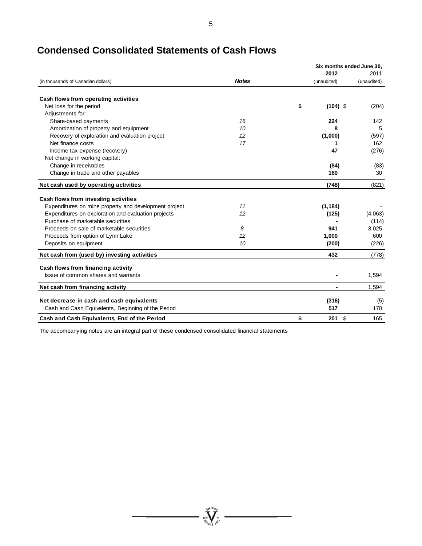|                                                       |              |                  | Six months ended June 30. |
|-------------------------------------------------------|--------------|------------------|---------------------------|
|                                                       |              | 2012             | 2011                      |
| (in thousands of Canadian dollars)                    | <b>Notes</b> | (unaudited)      | (unaudited)               |
| Cash flows from operating activities                  |              |                  |                           |
| Net loss for the period                               |              | \$<br>$(104)$ \$ | (204)                     |
| Adjustments for:                                      |              |                  |                           |
| Share-based payments                                  | 16           | 224              | 142                       |
| Amortization of property and equipment                | 10           | 8                | 5                         |
| Recovery of exploration and evaluation project        | 12           | (1,000)          | (597)                     |
| Net finance costs                                     | 17           | 1                | 162                       |
| Income tax expense (recovery)                         |              | 47               | (276)                     |
| Net change in working capital:                        |              |                  |                           |
| Change in receivables                                 |              | (84)             | (83)                      |
| Change in trade and other payables                    |              | 160              | 30                        |
| Net cash used by operating activities                 |              | (748)            | (821)                     |
| Cash flows from investing activities                  |              |                  |                           |
| Expenditures on mine property and development project | 11           | (1, 184)         |                           |
| Expenditures on exploration and evaluation projects   | 12           | (125)            | (4,063)                   |
| Purchase of marketable securities                     |              |                  | (114)                     |
| Proceeds on sale of marketable securities             | 8            | 941              | 3,025                     |
| Proceeds from option of Lynn Lake                     | 12           | 1,000            | 600                       |
| Deposits on equipment                                 | 10           | (200)            | (226)                     |
| Net cash from (used by) investing activities          |              | 432              | (778)                     |
| Cash flows from financing activity                    |              |                  |                           |
| Issue of common shares and warrants                   |              |                  | 1,594                     |
| Net cash from financing activity                      |              |                  | 1,594                     |
| Net decrease in cash and cash equivalents             |              | (316)            | (5)                       |
| Cash and Cash Equivalents, Beginning of the Period    |              | 517              | 170                       |
| Cash and Cash Equivalents, End of the Period          |              | \$<br>\$<br>201  | 165                       |

**WEIGHT WEIGHT** 

# **Condensed Consolidated Statements of Cash Flows**

The accompanying notes are an integral part of these condensed consolidated financial statements

5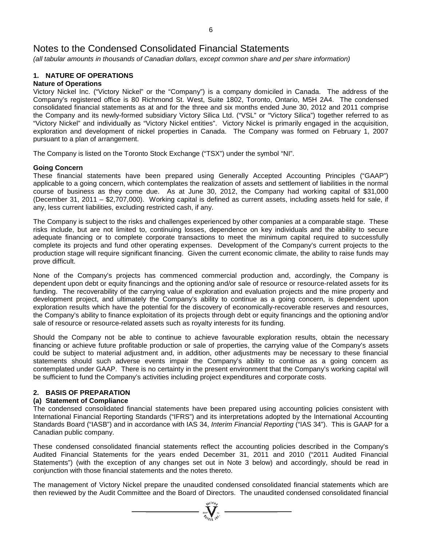*(all tabular amounts in thousands of Canadian dollars, except common share and per share information)*

## **1. NATURE OF OPERATIONS**

## **Nature of Operations**

Victory Nickel Inc. ("Victory Nickel" or the "Company") is a company domiciled in Canada. The address of the Company's registered office is 80 Richmond St. West, Suite 1802, Toronto, Ontario, M5H 2A4. The condensed consolidated financial statements as at and for the three and six months ended June 30, 2012 and 2011 comprise the Company and its newly-formed subsidiary Victory Silica Ltd. ("VSL" or "Victory Silica") together referred to as "Victory Nickel" and individually as "Victory Nickel entities". Victory Nickel is primarily engaged in the acquisition, exploration and development of nickel properties in Canada. The Company was formed on February 1, 2007 pursuant to a plan of arrangement.

The Company is listed on the Toronto Stock Exchange ("TSX") under the symbol "NI".

#### **Going Concern**

These financial statements have been prepared using Generally Accepted Accounting Principles ("GAAP") applicable to a going concern, which contemplates the realization of assets and settlement of liabilities in the normal course of business as they come due. As at June 30, 2012, the Company had working capital of \$31,000 (December 31, 2011 – \$2,707,000). Working capital is defined as current assets, including assets held for sale, if any, less current liabilities, excluding restricted cash, if any.

The Company is subject to the risks and challenges experienced by other companies at a comparable stage. These risks include, but are not limited to, continuing losses, dependence on key individuals and the ability to secure adequate financing or to complete corporate transactions to meet the minimum capital required to successfully complete its projects and fund other operating expenses. Development of the Company's current projects to the production stage will require significant financing. Given the current economic climate, the ability to raise funds may prove difficult.

None of the Company's projects has commenced commercial production and, accordingly, the Company is dependent upon debt or equity financings and the optioning and/or sale of resource or resource-related assets for its funding. The recoverability of the carrying value of exploration and evaluation projects and the mine property and development project, and ultimately the Company's ability to continue as a going concern, is dependent upon exploration results which have the potential for the discovery of economically-recoverable reserves and resources, the Company's ability to finance exploitation of its projects through debt or equity financings and the optioning and/or sale of resource or resource-related assets such as royalty interests for its funding.

Should the Company not be able to continue to achieve favourable exploration results, obtain the necessary financing or achieve future profitable production or sale of properties, the carrying value of the Company's assets could be subject to material adjustment and, in addition, other adjustments may be necessary to these financial statements should such adverse events impair the Company's ability to continue as a going concern as contemplated under GAAP. There is no certainty in the present environment that the Company's working capital will be sufficient to fund the Company's activities including project expenditures and corporate costs.

### **2. BASIS OF PREPARATION**

#### **(a) Statement of Compliance**

The condensed consolidated financial statements have been prepared using accounting policies consistent with International Financial Reporting Standards ("IFRS") and its interpretations adopted by the International Accounting Standards Board ("IASB") and in accordance with IAS 34, *Interim Financial Reporting* ("IAS 34"). This is GAAP for a Canadian public company.

These condensed consolidated financial statements reflect the accounting policies described in the Company's Audited Financial Statements for the years ended December 31, 2011 and 2010 ("2011 Audited Financial Statements") (with the exception of any changes set out in Note 3 below) and accordingly, should be read in conjunction with those financial statements and the notes thereto.

The management of Victory Nickel prepare the unaudited condensed consolidated financial statements which are then reviewed by the Audit Committee and the Board of Directors. The unaudited condensed consolidated financial

 $\sum_{n=1}^{\infty}$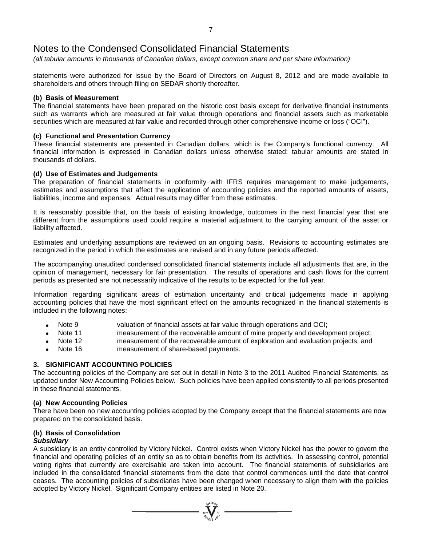*(all tabular amounts in thousands of Canadian dollars, except common share and per share information)*

statements were authorized for issue by the Board of Directors on August 8, 2012 and are made available to shareholders and others through filing on SEDAR shortly thereafter.

#### **(b) Basis of Measurement**

The financial statements have been prepared on the historic cost basis except for derivative financial instruments such as warrants which are measured at fair value through operations and financial assets such as marketable securities which are measured at fair value and recorded through other comprehensive income or loss ("OCI").

#### **(c) Functional and Presentation Currency**

These financial statements are presented in Canadian dollars, which is the Company's functional currency. All financial information is expressed in Canadian dollars unless otherwise stated; tabular amounts are stated in thousands of dollars.

#### **(d) Use of Estimates and Judgements**

The preparation of financial statements in conformity with IFRS requires management to make judgements, estimates and assumptions that affect the application of accounting policies and the reported amounts of assets, liabilities, income and expenses. Actual results may differ from these estimates.

It is reasonably possible that, on the basis of existing knowledge, outcomes in the next financial year that are different from the assumptions used could require a material adjustment to the carrying amount of the asset or liability affected.

Estimates and underlying assumptions are reviewed on an ongoing basis. Revisions to accounting estimates are recognized in the period in which the estimates are revised and in any future periods affected.

The accompanying unaudited condensed consolidated financial statements include all adjustments that are, in the opinion of management, necessary for fair presentation. The results of operations and cash flows for the current periods as presented are not necessarily indicative of the results to be expected for the full year.

Information regarding significant areas of estimation uncertainty and critical judgements made in applying accounting policies that have the most significant effect on the amounts recognized in the financial statements is included in the following notes:

- 
- valuation of financial assets at fair value through operations and OCI;<br>Note 11 measurement of the recoverable amount of mine property and develor measurement of the recoverable amount of mine property and development project;
- Note 12 measurement of the recoverable amount of exploration and evaluation projects; and
- Note 16 measurement of share-based payments.

### **3. SIGNIFICANT ACCOUNTING POLICIES**

The accounting policies of the Company are set out in detail in Note 3 to the 2011 Audited Financial Statements, as updated under New Accounting Policies below. Such policies have been applied consistently to all periods presented in these financial statements.

### **(a) New Accounting Policies**

There have been no new accounting policies adopted by the Company except that the financial statements are now prepared on the consolidated basis.

## **(b) Basis of Consolidation**

#### *Subsidiary*

A subsidiary is an entity controlled by Victory Nickel. Control exists when Victory Nickel has the power to govern the financial and operating policies of an entity so as to obtain benefits from its activities. In assessing control, potential voting rights that currently are exercisable are taken into account. The financial statements of subsidiaries are included in the consolidated financial statements from the date that control commences until the date that control ceases. The accounting policies of subsidiaries have been changed when necessary to align them with the policies adopted by Victory Nickel. Significant Company entities are listed in Note 20.

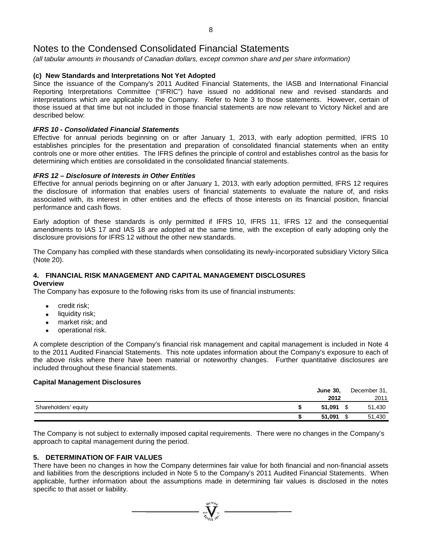*(all tabular amounts in thousands of Canadian dollars, except common share and per share information)*

### **(c) New Standards and Interpretations Not Yet Adopted**

Since the issuance of the Company's 2011 Audited Financial Statements, the IASB and International Financial Reporting Interpretations Committee ("IFRIC") have issued no additional new and revised standards and interpretations which are applicable to the Company. Refer to Note 3 to those statements. However, certain of those issued at that time but not included in those financial statements are now relevant to Victory Nickel and are described below:

#### *IFRS 10 - Consolidated Financial Statements*

Effective for annual periods beginning on or after January 1, 2013, with early adoption permitted, IFRS 10 establishes principles for the presentation and preparation of consolidated financial statements when an entity controls one or more other entities. The IFRS defines the principle of control and establishes control as the basis for determining which entities are consolidated in the consolidated financial statements.

#### *IFRS 12 – Disclosure of Interests in Other Entities*

Effective for annual periods beginning on or after January 1, 2013, with early adoption permitted, IFRS 12 requires the disclosure of information that enables users of financial statements to evaluate the nature of, and risks associated with, its interest in other entities and the effects of those interests on its financial position, financial performance and cash flows.

Early adoption of these standards is only permitted if IFRS 10, IFRS 11, IFRS 12 and the consequential amendments to IAS 17 and IAS 18 are adopted at the same time, with the exception of early adopting only the disclosure provisions for IFRS 12 without the other new standards.

The Company has complied with these standards when consolidating its newly-incorporated subsidiary Victory Silica (Note 20).

# **4. FINANCIAL RISK MANAGEMENT AND CAPITAL MANAGEMENT DISCLOSURES**

#### **Overview**

The Company has exposure to the following risks from its use of financial instruments:

- credit risk;
- liquidity risk;
- market risk; and
- operational risk.

A complete description of the Company's financial risk management and capital management is included in Note 4 to the 2011 Audited Financial Statements. This note updates information about the Company's exposure to each of the above risks where there have been material or noteworthy changes. Further quantitative disclosures are included throughout these financial statements.

#### **Capital Management Disclosures**

|                      | <b>June 30,</b> | December 31, |
|----------------------|-----------------|--------------|
|                      | 2012            | 2011         |
| Shareholders' equity | 51.091          | 51,430       |
|                      | 51.091          | 51,430       |

The Company is not subject to externally imposed capital requirements. There were no changes in the Company's approach to capital management during the period.

### **5. DETERMINATION OF FAIR VALUES**

There have been no changes in how the Company determines fair value for both financial and non-financial assets and liabilities from the descriptions included in Note 5 to the Company's 2011 Audited Financial Statements. When applicable, further information about the assumptions made in determining fair values is disclosed in the notes specific to that asset or liability.

 $\sum_{\mathbf{y} \in \mathcal{Y}^{(10)}} \sum_{\mathbf{y} \in \mathcal{Y}^{(21)}}$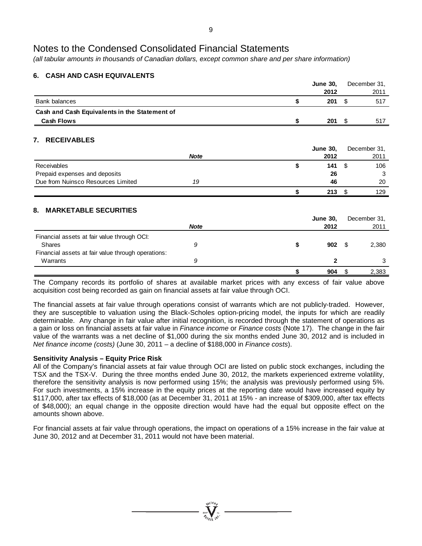*(all tabular amounts in thousands of Canadian dollars, except common share and per share information)*

## **6. CASH AND CASH EQUIVALENTS**

|                                                    |             |    | <b>June 30,</b> | December 31, |
|----------------------------------------------------|-------------|----|-----------------|--------------|
|                                                    |             |    | 2012            | 2011         |
| <b>Bank balances</b>                               |             | \$ | 201             | \$<br>517    |
| Cash and Cash Equivalents in the Statement of      |             |    |                 |              |
| <b>Cash Flows</b>                                  |             | S  | $201 \quad $$   | 517          |
| <b>RECEIVABLES</b><br>7.                           |             |    |                 |              |
|                                                    |             |    | <b>June 30,</b> | December 31, |
|                                                    | <b>Note</b> |    | 2012            | 2011         |
| Receivables                                        |             | \$ | 141             | \$<br>106    |
| Prepaid expenses and deposits                      |             |    | 26              | 3            |
| Due from Nuinsco Resources Limited                 | 19          |    | 46              | 20           |
|                                                    |             | \$ | 213             | \$<br>129    |
| <b>MARKETABLE SECURITIES</b><br>8.                 |             |    |                 |              |
|                                                    |             |    | <b>June 30,</b> | December 31, |
|                                                    | <b>Note</b> |    | 2012            | 2011         |
| Financial assets at fair value through OCI:        |             |    |                 |              |
| <b>Shares</b>                                      | 9           | \$ | 902             | \$<br>2,380  |
| Financial assets at fair value through operations: |             |    |                 |              |
| Warrants                                           | 9           |    | $\mathbf{2}$    | 3            |
|                                                    |             | \$ | 904             | \$<br>2,383  |

The Company records its portfolio of shares at available market prices with any excess of fair value above acquisition cost being recorded as gain on financial assets at fair value through OCI.

The financial assets at fair value through operations consist of warrants which are not publicly-traded. However, they are susceptible to valuation using the Black-Scholes option-pricing model, the inputs for which are readily determinable. Any change in fair value after initial recognition, is recorded through the statement of operations as a gain or loss on financial assets at fair value in *Finance income* or *Finance costs* (Note 17). The change in the fair value of the warrants was a net decline of \$1,000 during the six months ended June 30, 2012 and is included in *Net finance income (costs)* (June 30, 2011 – a decline of \$188,000 in *Finance costs*).

### **Sensitivity Analysis – Equity Price Risk**

All of the Company's financial assets at fair value through OCI are listed on public stock exchanges, including the TSX and the TSX-V. During the three months ended June 30, 2012, the markets experienced extreme volatility, therefore the sensitivity analysis is now performed using 15%; the analysis was previously performed using 5%. For such investments, a 15% increase in the equity prices at the reporting date would have increased equity by \$117,000, after tax effects of \$18,000 (as at December 31, 2011 at 15% - an increase of \$309,000, after tax effects of \$48,000); an equal change in the opposite direction would have had the equal but opposite effect on the amounts shown above.

For financial assets at fair value through operations, the impact on operations of a 15% increase in the fair value at June 30, 2012 and at December 31, 2011 would not have been material.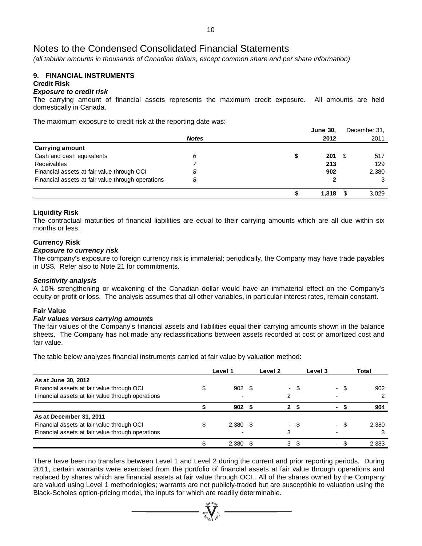*(all tabular amounts in thousands of Canadian dollars, except common share and per share information)*

#### **9. FINANCIAL INSTRUMENTS Credit Risk**

# *Exposure to credit risk*

The carrying amount of financial assets represents the maximum credit exposure. All amounts are held domestically in Canada.

The maximum exposure to credit risk at the reporting date was:

|                                                   |              | <b>June 30,</b> |      | December 31, |
|---------------------------------------------------|--------------|-----------------|------|--------------|
|                                                   | <b>Notes</b> | 2012            |      | 2011         |
| <b>Carrying amount</b>                            |              |                 |      |              |
| Cash and cash equivalents                         | 6            | 201             | - \$ | 517          |
| Receivables                                       |              | 213             |      | 129          |
| Financial assets at fair value through OCI        | 8            | 902             |      | 2,380        |
| Financial assets at fair value through operations | 8            |                 |      | 3            |
|                                                   |              | 1,318           |      | 3,029        |

#### **Liquidity Risk**

The contractual maturities of financial liabilities are equal to their carrying amounts which are all due within six months or less.

#### **Currency Risk**

#### *Exposure to currency risk*

The company's exposure to foreign currency risk is immaterial; periodically, the Company may have trade payables in US\$. Refer also to Note 21 for commitments.

#### *Sensitivity analysis*

A 10% strengthening or weakening of the Canadian dollar would have an immaterial effect on the Company's equity or profit or loss. The analysis assumes that all other variables, in particular interest rates, remain constant.

#### **Fair Value**

#### *Fair values versus carrying amounts*

The fair values of the Company's financial assets and liabilities equal their carrying amounts shown in the balance sheets. The Company has not made any reclassifications between assets recorded at cost or amortized cost and fair value.

The table below analyzes financial instruments carried at fair value by valuation method:

|                                                   | Level 1    | Level 2 |      | Level 3 |      | Total |
|---------------------------------------------------|------------|---------|------|---------|------|-------|
| As at June 30, 2012                               |            |         |      |         |      |       |
| Financial assets at fair value through OCI        | 902 \$     |         | - \$ |         | - \$ | 902   |
| Financial assets at fair value through operations |            |         |      |         |      |       |
|                                                   | 902        | າ       |      |         |      | 904   |
| As at December 31, 2011                           |            |         |      |         |      |       |
| Financial assets at fair value through OCI        | $2,380$ \$ |         | - S  |         |      | 2.380 |
| Financial assets at fair value through operations |            | 3       |      |         |      |       |
|                                                   | 2,380      | 3       |      |         |      | 2,383 |

There have been no transfers between Level 1 and Level 2 during the current and prior reporting periods. During 2011, certain warrants were exercised from the portfolio of financial assets at fair value through operations and replaced by shares which are financial assets at fair value through OCI. All of the shares owned by the Company are valued using Level 1 methodologies; warrants are not publicly-traded but are susceptible to valuation using the Black-Scholes option-pricing model, the inputs for which are readily determinable.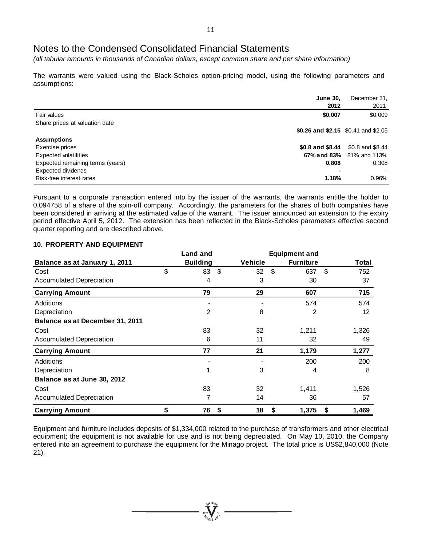*(all tabular amounts in thousands of Canadian dollars, except common share and per share information)*

The warrants were valued using the Black-Scholes option-pricing model, using the following parameters and assumptions:

|                                  | <b>June 30,</b><br>2012             | December 31,<br>2011            |
|----------------------------------|-------------------------------------|---------------------------------|
| Fair values                      | \$0.007                             | \$0.009                         |
| Share prices at valuation date   | \$0.26 and \$2.15 \$0.41 and \$2.05 |                                 |
| <b>Assumptions</b>               |                                     |                                 |
| Exercise prices                  | $$0.8$ and $$8.44$                  | \$0.8 and \$8.44                |
| Expected volatilities            |                                     | <b>67% and 83%</b> 81% and 113% |
| Expected remaining terms (years) | 0.808                               | 0.308                           |
| Expected dividends               | ۰                                   |                                 |
| Risk-free interest rates         | 1.18%                               | 0.96%                           |

Pursuant to a corporate transaction entered into by the issuer of the warrants, the warrants entitle the holder to 0.094758 of a share of the spin-off company. Accordingly, the parameters for the shares of both companies have been considered in arriving at the estimated value of the warrant. The issuer announced an extension to the expiry period effective April 5, 2012. The extension has been reflected in the Black-Scholes parameters effective second quarter reporting and are described above.

### **10. PROPERTY AND EQUIPMENT**

| Land and<br><b>Equipment and</b> |    |                 |                |                  |             |
|----------------------------------|----|-----------------|----------------|------------------|-------------|
| Balance as at January 1, 2011    |    | <b>Building</b> | <b>Vehicle</b> | <b>Furniture</b> | Total       |
| Cost                             | \$ | 83              | \$<br>32       | \$<br>637        | \$<br>752   |
| <b>Accumulated Depreciation</b>  |    | 4               | 3              | 30               | 37          |
| <b>Carrying Amount</b>           |    | 79              | 29             | 607              | 715         |
| Additions                        |    |                 |                | 574              | 574         |
| Depreciation                     |    | 2               | 8              | 2                | 12          |
| Balance as at December 31, 2011  |    |                 |                |                  |             |
| Cost                             |    | 83              | 32             | 1,211            | 1,326       |
| <b>Accumulated Depreciation</b>  |    | 6               | 11             | 32               | 49          |
| <b>Carrying Amount</b>           |    | 77              | 21             | 1,179            | 1,277       |
| Additions                        |    |                 |                | 200              | 200         |
| Depreciation                     |    | 1               | 3              | 4                | 8           |
| Balance as at June 30, 2012      |    |                 |                |                  |             |
| Cost                             |    | 83              | 32             | 1,411            | 1,526       |
| Accumulated Depreciation         |    | 7               | 14             | 36               | 57          |
| <b>Carrying Amount</b>           | \$ | 76              | 18<br>\$       | 1,375<br>\$      | 1,469<br>\$ |

Equipment and furniture includes deposits of \$1,334,000 related to the purchase of transformers and other electrical equipment; the equipment is not available for use and is not being depreciated. On May 10, 2010, the Company entered into an agreement to purchase the equipment for the Minago project. The total price is US\$2,840,000 (Note 21).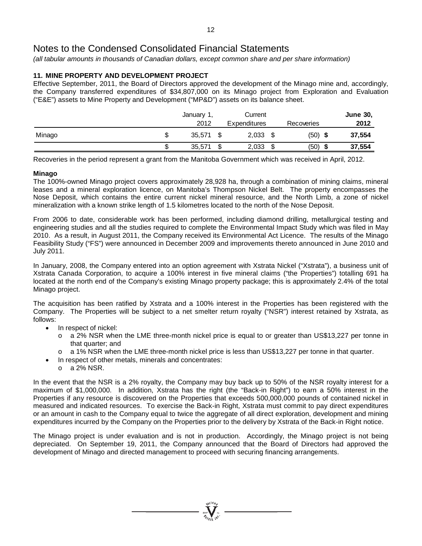*(all tabular amounts in thousands of Canadian dollars, except common share and per share information)*

## **11. MINE PROPERTY AND DEVELOPMENT PROJECT**

Effective September, 2011, the Board of Directors approved the development of the Minago mine and, accordingly, the Company transferred expenditures of \$34,807,000 on its Minago project from Exploration and Evaluation ("E&E") assets to Mine Property and Development ("MP&D") assets on its balance sheet.

|        |        | January 1, |        | Current      |              | <b>June 30,</b> |
|--------|--------|------------|--------|--------------|--------------|-----------------|
|        |        | 2012       |        | Expenditures | Recoveries   | 2012            |
| Minago | JЭ     | 35,571     |        | 2,033        | (50)<br>- \$ | 37,554          |
|        | ሖ<br>ъ | 35,571     | ₼<br>Œ | 2,033        | \$<br>(50)   | 37,554          |

Recoveries in the period represent a grant from the Manitoba Government which was received in April, 2012.

#### **Minago**

The 100%-owned Minago project covers approximately 28,928 ha, through a combination of mining claims, mineral leases and a mineral exploration licence, on Manitoba's Thompson Nickel Belt. The property encompasses the Nose Deposit, which contains the entire current nickel mineral resource, and the North Limb, a zone of nickel mineralization with a known strike length of 1.5 kilometres located to the north of the Nose Deposit.

From 2006 to date, considerable work has been performed, including diamond drilling, metallurgical testing and engineering studies and all the studies required to complete the Environmental Impact Study which was filed in May 2010. As a result, in August 2011, the Company received its Environmental Act Licence. The results of the Minago Feasibility Study ("FS") were announced in December 2009 and improvements thereto announced in June 2010 and July 2011.

In January, 2008, the Company entered into an option agreement with Xstrata Nickel ("Xstrata"), a business unit of Xstrata Canada Corporation, to acquire a 100% interest in five mineral claims ("the Properties") totalling 691 ha located at the north end of the Company's existing Minago property package; this is approximately 2.4% of the total Minago project.

The acquisition has been ratified by Xstrata and a 100% interest in the Properties has been registered with the Company. The Properties will be subject to a net smelter return royalty ("NSR") interest retained by Xstrata, as follows:

- In respect of nickel:
	- o a 2% NSR when the LME three-month nickel price is equal to or greater than US\$13,227 per tonne in that quarter; and
	- o a 1% NSR when the LME three-month nickel price is less than US\$13,227 per tonne in that quarter.
	- In respect of other metals, minerals and concentrates:<br>  $\circ$  a 2% NSR.
	- a 2% NSR.

In the event that the NSR is a 2% royalty, the Company may buy back up to 50% of the NSR royalty interest for a maximum of \$1,000,000. In addition, Xstrata has the right (the "Back-in Right") to earn a 50% interest in the Properties if any resource is discovered on the Properties that exceeds 500,000,000 pounds of contained nickel in measured and indicated resources. To exercise the Back-in Right, Xstrata must commit to pay direct expenditures or an amount in cash to the Company equal to twice the aggregate of all direct exploration, development and mining expenditures incurred by the Company on the Properties prior to the delivery by Xstrata of the Back-in Right notice.

The Minago project is under evaluation and is not in production. Accordingly, the Minago project is not being depreciated. On September 19, 2011, the Company announced that the Board of Directors had approved the development of Minago and directed management to proceed with securing financing arrangements.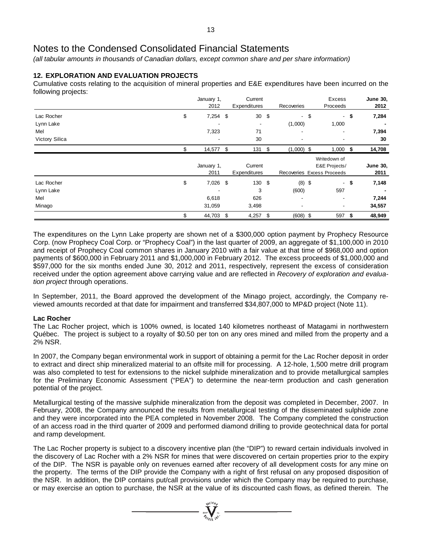*(all tabular amounts in thousands of Canadian dollars, except common share and per share information)*

## **12. EXPLORATION AND EVALUATION PROJECTS**

Cumulative costs relating to the acquisition of mineral properties and E&E expenditures have been incurred on the following projects:

|                |     | Current<br>January 1,                                                                                                                                                                                                                                                                                                                                                                                                            |      |         | Excess |                          | <b>June 30,</b> |  |                 |
|----------------|-----|----------------------------------------------------------------------------------------------------------------------------------------------------------------------------------------------------------------------------------------------------------------------------------------------------------------------------------------------------------------------------------------------------------------------------------|------|---------|--------|--------------------------|-----------------|--|-----------------|
|                |     |                                                                                                                                                                                                                                                                                                                                                                                                                                  |      |         |        |                          |                 |  | 2012            |
| Lac Rocher     | \$  |                                                                                                                                                                                                                                                                                                                                                                                                                                  |      | 30      | \$     |                          |                 |  | 7,284           |
| Lynn Lake      |     |                                                                                                                                                                                                                                                                                                                                                                                                                                  |      |         |        | (1,000)                  | 1,000           |  |                 |
| Mel            |     | 7,323                                                                                                                                                                                                                                                                                                                                                                                                                            |      | 71      |        | ٠                        | -               |  | 7,394           |
| Victory Silica |     | ٠                                                                                                                                                                                                                                                                                                                                                                                                                                |      | 30      |        | $\overline{\phantom{a}}$ |                 |  | 30              |
|                | \$. |                                                                                                                                                                                                                                                                                                                                                                                                                                  |      | 131     |        |                          |                 |  | 14,708          |
|                |     |                                                                                                                                                                                                                                                                                                                                                                                                                                  |      |         |        |                          | Writedown of    |  |                 |
|                |     |                                                                                                                                                                                                                                                                                                                                                                                                                                  |      | Current |        |                          | E&E Projects/   |  | <b>June 30,</b> |
|                |     | 2012<br>Expenditures<br>Recoveries<br>Proceeds<br>$-$ \$<br>$7,254$ \$<br>- \$<br>$\mathsf{S}$<br>$(1,000)$ \$<br>14,577 \$<br>$1,000$ \$<br>January 1,<br>2011<br>Recoveries Excess Proceeds<br>Expenditures<br>\$<br>130 \$<br>$7,026$ \$<br>$(8)$ \$<br>-\$<br>$\sim$<br>3<br>(600)<br>597<br>6,618<br>626<br>$\overline{\phantom{a}}$<br>31,059<br>3,498<br>٠<br>44,703 \$<br>\$<br>$(608)$ \$<br>\$<br>4,257<br>597<br>- \$ | 2011 |         |        |                          |                 |  |                 |
| Lac Rocher     |     |                                                                                                                                                                                                                                                                                                                                                                                                                                  |      |         |        |                          |                 |  | 7,148           |
| Lynn Lake      |     |                                                                                                                                                                                                                                                                                                                                                                                                                                  |      |         |        |                          |                 |  |                 |
| Mel            |     |                                                                                                                                                                                                                                                                                                                                                                                                                                  |      |         |        |                          |                 |  | 7,244           |
| Minago         |     |                                                                                                                                                                                                                                                                                                                                                                                                                                  |      |         |        |                          |                 |  | 34,557          |
|                |     |                                                                                                                                                                                                                                                                                                                                                                                                                                  |      |         |        |                          |                 |  | 48,949          |

The expenditures on the Lynn Lake property are shown net of a \$300,000 option payment by Prophecy Resource Corp. (now Prophecy Coal Corp. or "Prophecy Coal") in the last quarter of 2009, an aggregate of \$1,100,000 in 2010 and receipt of Prophecy Coal common shares in January 2010 with a fair value at that time of \$968,000 and option payments of \$600,000 in February 2011 and \$1,000,000 in February 2012. The excess proceeds of \$1,000,000 and \$597,000 for the six months ended June 30, 2012 and 2011, respectively, represent the excess of consideration received under the option agreement above carrying value and are reflected in *Recovery of exploration and evaluation project* through operations.

In September, 2011, the Board approved the development of the Minago project, accordingly, the Company reviewed amounts recorded at that date for impairment and transferred \$34,807,000 to MP&D project (Note 11).

#### **Lac Rocher**

The Lac Rocher project, which is 100% owned, is located 140 kilometres northeast of Matagami in northwestern Québec. The project is subject to a royalty of \$0.50 per ton on any ores mined and milled from the property and a 2% NSR.

In 2007, the Company began environmental work in support of obtaining a permit for the Lac Rocher deposit in order to extract and direct ship mineralized material to an offsite mill for processing. A 12-hole, 1,500 metre drill program was also completed to test for extensions to the nickel sulphide mineralization and to provide metallurgical samples for the Preliminary Economic Assessment ("PEA") to determine the near-term production and cash generation potential of the project.

Metallurgical testing of the massive sulphide mineralization from the deposit was completed in December, 2007. In February, 2008, the Company announced the results from metallurgical testing of the disseminated sulphide zone and they were incorporated into the PEA completed in November 2008. The Company completed the construction of an access road in the third quarter of 2009 and performed diamond drilling to provide geotechnical data for portal and ramp development.

The Lac Rocher property is subject to a discovery incentive plan (the "DIP") to reward certain individuals involved in the discovery of Lac Rocher with a 2% NSR for mines that were discovered on certain properties prior to the expiry of the DIP. The NSR is payable only on revenues earned after recovery of all development costs for any mine on the property. The terms of the DIP provide the Company with a right of first refusal on any proposed disposition of the NSR. In addition, the DIP contains put/call provisions under which the Company may be required to purchase, or may exercise an option to purchase, the NSR at the value of its discounted cash flows, as defined therein. The

 $\sum_{\substack{300\\27\\27\\30}}$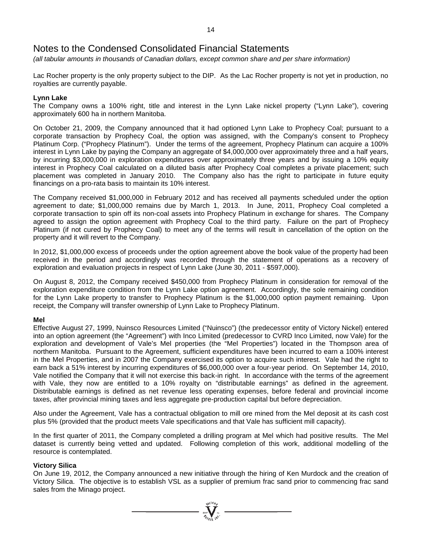*(all tabular amounts in thousands of Canadian dollars, except common share and per share information)*

Lac Rocher property is the only property subject to the DIP. As the Lac Rocher property is not yet in production, no royalties are currently payable.

#### **Lynn Lake**

The Company owns a 100% right, title and interest in the Lynn Lake nickel property ("Lynn Lake"), covering approximately 600 ha in northern Manitoba.

On October 21, 2009, the Company announced that it had optioned Lynn Lake to Prophecy Coal; pursuant to a corporate transaction by Prophecy Coal, the option was assigned, with the Company's consent to Prophecy Platinum Corp. ("Prophecy Platinum"). Under the terms of the agreement, Prophecy Platinum can acquire a 100% interest in Lynn Lake by paying the Company an aggregate of \$4,000,000 over approximately three and a half years, by incurring \$3,000,000 in exploration expenditures over approximately three years and by issuing a 10% equity interest in Prophecy Coal calculated on a diluted basis after Prophecy Coal completes a private placement; such placement was completed in January 2010. The Company also has the right to participate in future equity financings on a pro-rata basis to maintain its 10% interest.

The Company received \$1,000,000 in February 2012 and has received all payments scheduled under the option agreement to date; \$1,000,000 remains due by March 1, 2013. In June, 2011, Prophecy Coal completed a corporate transaction to spin off its non-coal assets into Prophecy Platinum in exchange for shares. The Company agreed to assign the option agreement with Prophecy Coal to the third party. Failure on the part of Prophecy Platinum (if not cured by Prophecy Coal) to meet any of the terms will result in cancellation of the option on the property and it will revert to the Company.

In 2012, \$1,000,000 excess of proceeds under the option agreement above the book value of the property had been received in the period and accordingly was recorded through the statement of operations as a recovery of exploration and evaluation projects in respect of Lynn Lake (June 30, 2011 - \$597,000).

On August 8, 2012, the Company received \$450,000 from Prophecy Platinum in consideration for removal of the exploration expenditure condition from the Lynn Lake option agreement. Accordingly, the sole remaining condition for the Lynn Lake property to transfer to Prophecy Platinum is the \$1,000,000 option payment remaining. Upon receipt, the Company will transfer ownership of Lynn Lake to Prophecy Platinum.

#### **Mel**

Effective August 27, 1999, Nuinsco Resources Limited ("Nuinsco") (the predecessor entity of Victory Nickel) entered into an option agreement (the "Agreement") with Inco Limited (predecessor to CVRD Inco Limited, now Vale) for the exploration and development of Vale's Mel properties (the "Mel Properties") located in the Thompson area of northern Manitoba. Pursuant to the Agreement, sufficient expenditures have been incurred to earn a 100% interest in the Mel Properties, and in 2007 the Company exercised its option to acquire such interest. Vale had the right to earn back a 51% interest by incurring expenditures of \$6,000,000 over a four-year period. On September 14, 2010, Vale notified the Company that it will not exercise this back-in right. In accordance with the terms of the agreement with Vale, they now are entitled to a 10% royalty on "distributable earnings" as defined in the agreement. Distributable earnings is defined as net revenue less operating expenses, before federal and provincial income taxes, after provincial mining taxes and less aggregate pre-production capital but before depreciation.

Also under the Agreement, Vale has a contractual obligation to mill ore mined from the Mel deposit at its cash cost plus 5% (provided that the product meets Vale specifications and that Vale has sufficient mill capacity).

In the first quarter of 2011, the Company completed a drilling program at Mel which had positive results. The Mel dataset is currently being vetted and updated. Following completion of this work, additional modelling of the resource is contemplated.

#### **Victory Silica**

On June 19, 2012, the Company announced a new initiative through the hiring of Ken Murdock and the creation of Victory Silica. The objective is to establish VSL as a supplier of premium frac sand prior to commencing frac sand sales from the Minago project.

 $\sum_{y_1 \in \{100\}}^{y_2 \in \{100\}}$  =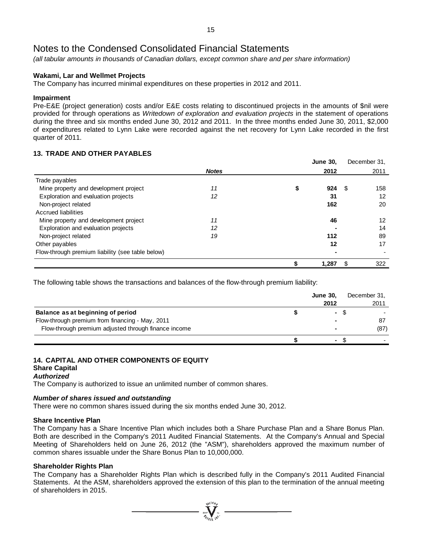*(all tabular amounts in thousands of Canadian dollars, except common share and per share information)*

#### **Wakami, Lar and Wellmet Projects**

The Company has incurred minimal expenditures on these properties in 2012 and 2011.

#### **Impairment**

Pre-E&E (project generation) costs and/or E&E costs relating to discontinued projects in the amounts of \$nil were provided for through operations as *Writedown of exploration and evaluation projects* in the statement of operations during the three and six months ended June 30, 2012 and 2011. In the three months ended June 30, 2011, \$2,000 of expenditures related to Lynn Lake were recorded against the net recovery for Lynn Lake recorded in the first quarter of 2011.

#### **13. TRADE AND OTHER PAYABLES**

|                                                  |              | <b>June 30,</b> |     | December 31. |
|--------------------------------------------------|--------------|-----------------|-----|--------------|
|                                                  | <b>Notes</b> | 2012            |     | 2011         |
| Trade payables                                   |              |                 |     |              |
| Mine property and development project            | 11           | 924             | æ.  | 158          |
| Exploration and evaluation projects              | 12           | 31              |     | 12           |
| Non-project related                              |              | 162             |     | 20           |
| <b>Accrued liabilities</b>                       |              |                 |     |              |
| Mine property and development project            | 11           | 46              |     | 12           |
| Exploration and evaluation projects              | 12           |                 |     | 14           |
| Non-project related                              | 19           | 112             |     | 89           |
| Other payables                                   |              | 12              |     | 17           |
| Flow-through premium liability (see table below) |              |                 |     |              |
|                                                  |              | 1,287           | \$. | 322          |

The following table shows the transactions and balances of the flow-through premium liability:

|                                                      | <b>June 30,</b> | December 31, |
|------------------------------------------------------|-----------------|--------------|
|                                                      | 2012            | 2011         |
| Balance as at beginning of period                    | <b>COL</b>      |              |
| Flow-through premium from financing - May, 2011      |                 | 87           |
| Flow-through premium adjusted through finance income | ٠               | (87)         |
|                                                      | ٠               |              |

#### **14. CAPITAL AND OTHER COMPONENTS OF EQUITY Share Capital**

# *Authorized*

The Company is authorized to issue an unlimited number of common shares.

## *Number of shares issued and outstanding*

There were no common shares issued during the six months ended June 30, 2012.

## **Share Incentive Plan**

The Company has a Share Incentive Plan which includes both a Share Purchase Plan and a Share Bonus Plan. Both are described in the Company's 2011 Audited Financial Statements. At the Company's Annual and Special Meeting of Shareholders held on June 26, 2012 (the "ASM"), shareholders approved the maximum number of common shares issuable under the Share Bonus Plan to 10,000,000.

#### **Shareholder Rights Plan**

The Company has a Shareholder Rights Plan which is described fully in the Company's 2011 Audited Financial Statements. At the ASM, shareholders approved the extension of this plan to the termination of the annual meeting of shareholders in 2015.

 $\sum_{\substack{i=1\\i\neq j}}^{N^{(10)}h_{j}}$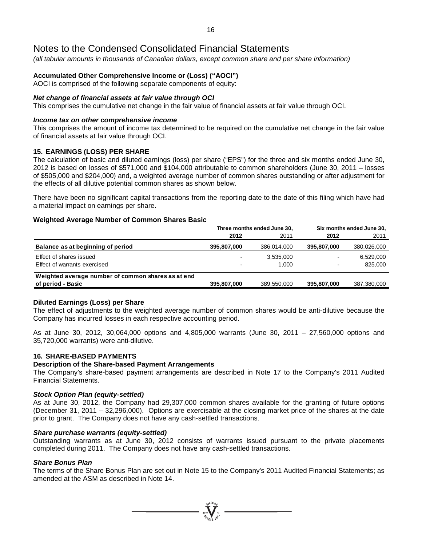*(all tabular amounts in thousands of Canadian dollars, except common share and per share information)*

## **Accumulated Other Comprehensive Income or (Loss) ("AOCI")**

AOCI is comprised of the following separate components of equity:

#### *Net change of financial assets at fair value through OCI*

This comprises the cumulative net change in the fair value of financial assets at fair value through OCI.

#### *Income tax on other comprehensive income*

This comprises the amount of income tax determined to be required on the cumulative net change in the fair value of financial assets at fair value through OCI.

### **15. EARNINGS (LOSS) PER SHARE**

The calculation of basic and diluted earnings (loss) per share ("EPS") for the three and six months ended June 30, 2012 is based on losses of \$571,000 and \$104,000 attributable to common shareholders (June 30, 2011 – losses of \$505,000 and \$204,000) and, a weighted average number of common shares outstanding or after adjustment for the effects of all dilutive potential common shares as shown below.

There have been no significant capital transactions from the reporting date to the date of this filing which have had a material impact on earnings per share.

#### **Weighted Average Number of Common Shares Basic**

|                                                    |             | Three months ended June 30, | Six months ended June 30, |             |  |  |
|----------------------------------------------------|-------------|-----------------------------|---------------------------|-------------|--|--|
|                                                    | 2012        | 2011                        | 2012                      | 2011        |  |  |
| Balance as at beginning of period                  | 395,807,000 | 386,014,000                 | 395,807,000               | 380,026,000 |  |  |
| Effect of shares issued                            |             | 3,535,000                   |                           | 6,529,000   |  |  |
| Effect of warrants exercised                       |             | 1.000                       | $\overline{\phantom{0}}$  | 825,000     |  |  |
| Weighted average number of common shares as at end |             |                             |                           |             |  |  |
| of period - Basic                                  | 395,807,000 | 389.550.000                 | 395,807,000               | 387,380,000 |  |  |

#### **Diluted Earnings (Loss) per Share**

The effect of adjustments to the weighted average number of common shares would be anti-dilutive because the Company has incurred losses in each respective accounting period.

As at June 30, 2012, 30,064,000 options and 4,805,000 warrants (June 30, 2011 – 27,560,000 options and 35,720,000 warrants) were anti-dilutive.

### **16. SHARE-BASED PAYMENTS**

#### **Description of the Share-based Payment Arrangements**

The Company's share-based payment arrangements are described in Note 17 to the Company's 2011 Audited Financial Statements.

#### *Stock Option Plan (equity-settled)*

As at June 30, 2012, the Company had 29,307,000 common shares available for the granting of future options (December 31, 2011 – 32,296,000). Options are exercisable at the closing market price of the shares at the date prior to grant. The Company does not have any cash-settled transactions.

#### *Share purchase warrants (equity-settled)*

Outstanding warrants as at June 30, 2012 consists of warrants issued pursuant to the private placements completed during 2011. The Company does not have any cash-settled transactions.

#### *Share Bonus Plan*

The terms of the Share Bonus Plan are set out in Note 15 to the Company's 2011 Audited Financial Statements; as amended at the ASM as described in Note 14.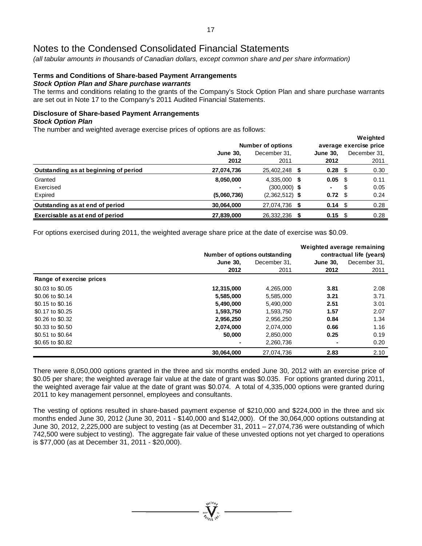*(all tabular amounts in thousands of Canadian dollars, except common share and per share information)*

#### **Terms and Conditions of Share-based Payment Arrangements** *Stock Option Plan and Share purchase warrants*

The terms and conditions relating to the grants of the Company's Stock Option Plan and share purchase warrants are set out in Note 17 to the Company's 2011 Audited Financial Statements.

**Weighted**

# **Disclosure of Share-based Payment Arrangements**

#### *Stock Option Plan*

The number and weighted average exercise prices of options are as follows:

|                                       |                          |                        |                   |   | weighted     |
|---------------------------------------|--------------------------|------------------------|-------------------|---|--------------|
|                                       | <b>Number of options</b> | average exercise price |                   |   |              |
|                                       | <b>June 30.</b>          | December 31,           | <b>June 30,</b>   |   | December 31, |
|                                       | 2012                     | 2011                   | 2012              |   | 2011         |
| Outstanding as at beginning of period | 27,074,736               | 25,402,248             | $0.28$ \$         |   | 0.30         |
| Granted                               | 8,050,000                | 4,335,000 \$           | $0.05$ \$         |   | 0.11         |
| Exercised                             |                          | $(300,000)$ \$         | ۰.                | S | 0.05         |
| Expired                               | (5,060,736)              | $(2,362,512)$ \$       | $0.72$ \$         |   | 0.24         |
| Outstanding as at end of period       | 30,064,000               | 27,074,736 \$          | $0.14 \text{ } $$ |   | 0.28         |
| Exercisable as at end of period       | 27,839,000               | 26,332,236 \$          | $0.15$ \$         |   | 0.28         |

For options exercised during 2011, the weighted average share price at the date of exercise was \$0.09.

|                          | Weighted average remaining |                               |                          |              |  |  |  |  |
|--------------------------|----------------------------|-------------------------------|--------------------------|--------------|--|--|--|--|
|                          |                            | Number of options outstanding | contractual life (years) |              |  |  |  |  |
|                          | <b>June 30.</b>            | December 31.                  | <b>June 30.</b>          | December 31. |  |  |  |  |
|                          | 2012                       | 2011                          | 2012                     | 2011         |  |  |  |  |
| Range of exercise prices |                            |                               |                          |              |  |  |  |  |
| \$0.03 to \$0.05         | 12,315,000                 | 4,265,000                     | 3.81                     | 2.08         |  |  |  |  |
| \$0.06 to \$0.14         | 5,585,000                  | 5,585,000                     | 3.21                     | 3.71         |  |  |  |  |
| \$0.15 to \$0.16         | 5,490,000                  | 5,490,000                     | 2.51                     | 3.01         |  |  |  |  |
| \$0.17 to \$0.25         | 1,593,750                  | 1,593,750                     | 1.57                     | 2.07         |  |  |  |  |
| \$0.26 to \$0.32         | 2,956,250                  | 2,956,250                     | 0.84                     | 1.34         |  |  |  |  |
| \$0.33 to \$0.50         | 2.074.000                  | 2,074,000                     | 0.66                     | 1.16         |  |  |  |  |
| \$0.51 to \$0.64         | 50,000                     | 2,850,000                     | 0.25                     | 0.19         |  |  |  |  |
| \$0.65 to \$0.82         |                            | 2,260,736                     |                          | 0.20         |  |  |  |  |
|                          | 30,064,000                 | 27.074.736                    | 2.83                     | 2.10         |  |  |  |  |

There were 8,050,000 options granted in the three and six months ended June 30, 2012 with an exercise price of \$0.05 per share; the weighted average fair value at the date of grant was \$0.035. For options granted during 2011, the weighted average fair value at the date of grant was \$0.074. A total of 4,335,000 options were granted during 2011 to key management personnel, employees and consultants.

The vesting of options resulted in share-based payment expense of \$210,000 and \$224,000 in the three and six months ended June 30, 2012 (June 30, 2011 - \$140,000 and \$142,000). Of the 30,064,000 options outstanding at June 30, 2012, 2,225,000 are subject to vesting (as at December 31, 2011 – 27,074,736 were outstanding of which 742,500 were subject to vesting). The aggregate fair value of these unvested options not yet charged to operations is \$77,000 (as at December 31, 2011 - \$20,000).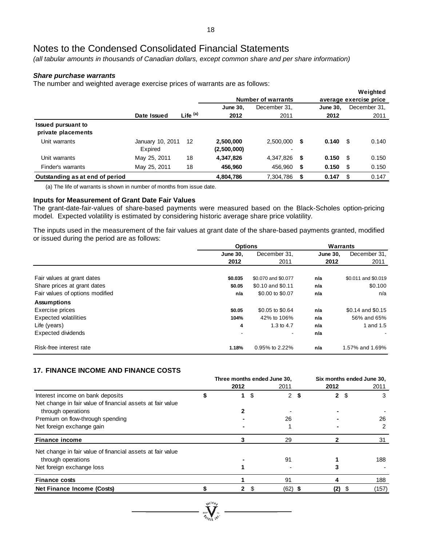*(all tabular amounts in thousands of Canadian dollars, except common share and per share information)*

#### *Share purchase warrants*

The number and weighted average exercise prices of warrants are as follows:

|                                                 |                             |                     |                          |                                       |    |                        |      | Weighted     |  |
|-------------------------------------------------|-----------------------------|---------------------|--------------------------|---------------------------------------|----|------------------------|------|--------------|--|
|                                                 |                             |                     |                          | <b>Number of warrants</b>             |    | average exercise price |      |              |  |
|                                                 |                             |                     | <b>June 30.</b>          | December 31,                          |    | <b>June 30.</b>        |      | December 31, |  |
|                                                 | Date Issued                 | Life <sup>(a)</sup> | 2012                     | 2011                                  |    | 2012                   |      | 2011         |  |
| <b>Issued pursuant to</b><br>private placements |                             |                     |                          |                                       |    |                        |      |              |  |
| Unit warrants                                   | January 10, 2011<br>Expired | 12                  | 2.500.000<br>(2,500,000) | 2.500.000<br>$\overline{\phantom{0}}$ | \$ | 0.140                  | S    | 0.140        |  |
| Unit warrants                                   | May 25, 2011                | 18                  | 4,347,826                | 4,347,826                             | \$ | 0.150                  | - \$ | 0.150        |  |
| Finder's warrants                               | May 25, 2011                | 18                  | 456,960                  | 456,960                               | \$ | 0.150                  | - \$ | 0.150        |  |
| Outstanding as at end of period                 |                             |                     | 4,804,786                | 7,304,786                             | \$ | 0.147                  | -S   | 0.147        |  |

(a) The life of warrants is shown in number of months from issue date.

#### **Inputs for Measurement of Grant Date Fair Values**

The grant-date-fair-values of share-based payments were measured based on the Black-Scholes option-pricing model. Expected volatility is estimated by considering historic average share price volatility.

The inputs used in the measurement of the fair values at grant date of the share-based payments granted, modified or issued during the period are as follows:

|                                 | <b>Options</b>  |                     |                 | <b>Warrants</b>     |  |  |
|---------------------------------|-----------------|---------------------|-----------------|---------------------|--|--|
|                                 | <b>June 30.</b> | December 31,        | <b>June 30.</b> | December 31,        |  |  |
|                                 | 2012            | 2011                | 2012            | 2011                |  |  |
|                                 |                 |                     |                 |                     |  |  |
| Fair values at grant dates      | \$0.035         | \$0.070 and \$0.077 | n/a             | \$0.011 and \$0.019 |  |  |
| Share prices at grant dates     | \$0.05          | \$0.10 and \$0.11   | n/a             | \$0.100             |  |  |
| Fair values of options modified | n/a             | \$0.00 to \$0.07    | n/a             | n/a                 |  |  |
| <b>Assumptions</b>              |                 |                     |                 |                     |  |  |
| Exercise prices                 | \$0.05          | \$0.05 to \$0.64    | n/a             | \$0.14 and \$0.15   |  |  |
| <b>Expected volatilities</b>    | 104%            | 42% to 106%         | n/a             | 56% and 65%         |  |  |
| Life (years)                    | 4               | 1.3 to 4.7          | n/a             | 1 and 1.5           |  |  |
| Expected dividends              |                 | $\blacksquare$      | n/a             |                     |  |  |
| Risk-free interest rate         | 1.18%           | 0.95% to 2.22%      | n/a             | 1.57% and 1.69%     |  |  |

#### **17. FINANCE INCOME AND FINANCE COSTS**

|                                                            | Three months ended June 30, |   |                      |      | Six months ended June 30. |    |       |  |
|------------------------------------------------------------|-----------------------------|---|----------------------|------|---------------------------|----|-------|--|
|                                                            | 2012                        |   | 2011                 |      | 2012                      |    | 2011  |  |
| Interest income on bank deposits                           |                             | S | $\mathbf{2}^{\circ}$ | - 55 | 2                         | -S | 3     |  |
| Net change in fair value of financial assets at fair value |                             |   |                      |      |                           |    |       |  |
| through operations                                         |                             |   |                      |      |                           |    |       |  |
| Premium on flow-through spending                           |                             |   | 26                   |      |                           |    | 26    |  |
| Net foreign exchange gain                                  |                             |   |                      |      |                           |    | 2     |  |
| <b>Finance income</b>                                      |                             |   | 29                   |      |                           |    | 31    |  |
| Net change in fair value of financial assets at fair value |                             |   |                      |      |                           |    |       |  |
| through operations                                         |                             |   | 91                   |      |                           |    | 188   |  |
| Net foreign exchange loss                                  |                             |   |                      |      |                           |    |       |  |
| <b>Finance costs</b>                                       |                             |   | 91                   |      |                           |    | 188   |  |
| Net Finance Income (Costs)                                 |                             |   | (62) \$              |      | (2)                       |    | (157) |  |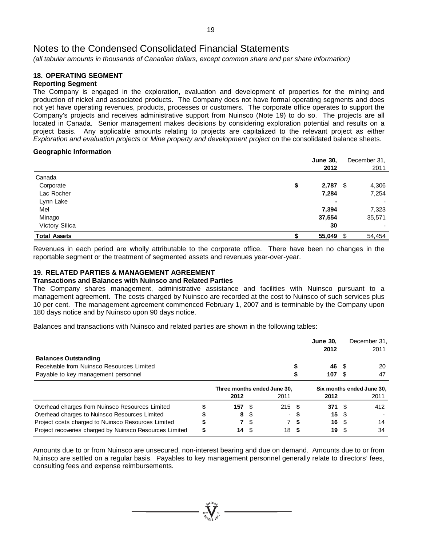*(all tabular amounts in thousands of Canadian dollars, except common share and per share information)*

#### **18. OPERATING SEGMENT Reporting Segment**

The Company is engaged in the exploration, evaluation and development of properties for the mining and production of nickel and associated products. The Company does not have formal operating segments and does not yet have operating revenues, products, processes or customers. The corporate office operates to support the Company's projects and receives administrative support from Nuinsco (Note 19) to do so. The projects are all located in Canada. Senior management makes decisions by considering exploration potential and results on a project basis. Any applicable amounts relating to projects are capitalized to the relevant project as either *Exploration and evaluation projects* or *Mine property and development project* on the consolidated balance sheets.

#### **Geographic Information**

| <b>June 30,</b> |     | December 31, |
|-----------------|-----|--------------|
| 2012            |     | 2011         |
|                 |     |              |
| \$<br>2,787     |     | 4,306        |
| 7,284           |     | 7,254        |
| $\blacksquare$  |     | ۰            |
| 7,394           |     | 7,323        |
| 37,554          |     | 35,571       |
| 30              |     |              |
| 55,049          | \$. | 54,454       |
|                 |     | - \$         |

Revenues in each period are wholly attributable to the corporate office. There have been no changes in the reportable segment or the treatment of segmented assets and revenues year-over-year.

## **19. RELATED PARTIES & MANAGEMENT AGREEMENT**

#### **Transactions and Balances with Nuinsco and Related Parties**

The Company shares management, administrative assistance and facilities with Nuinsco pursuant to a management agreement. The costs charged by Nuinsco are recorded at the cost to Nuinsco of such services plus 10 per cent. The management agreement commenced February 1, 2007 and is terminable by the Company upon 180 days notice and by Nuinsco upon 90 days notice.

Balances and transactions with Nuinsco and related parties are shown in the following tables:

|                                                         |                             |      |      |      | <b>June 30.</b><br>2012   |     | December 31.<br>2011 |
|---------------------------------------------------------|-----------------------------|------|------|------|---------------------------|-----|----------------------|
| <b>Balances Outstanding</b>                             |                             |      |      |      |                           |     |                      |
| Receivable from Nuinsco Resources Limited               |                             |      |      |      | 46                        | -S  | 20                   |
| Payable to key management personnel                     |                             |      |      |      | 107                       | S   | 47                   |
|                                                         | Three months ended June 30, |      |      |      | Six months ended June 30. |     |                      |
|                                                         | 2012                        |      | 2011 |      | 2012                      |     | 2011                 |
| Overhead charges from Nuinsco Resources Limited         | 157                         | - \$ | 215  | - \$ | 371                       |     | 412                  |
| Overhead charges to Nuinsco Resources Limited           | 8                           |      |      |      | 15                        |     |                      |
| Project costs charged to Nuinsco Resources Limited      |                             | 7 S  |      |      | 16                        | \$. | 14                   |
| Project recoveries charged by Nuinsco Resources Limited | 14                          | - \$ | 18   |      | 19                        |     | 34                   |

Amounts due to or from Nuinsco are unsecured, non-interest bearing and due on demand. Amounts due to or from Nuinsco are settled on a regular basis. Payables to key management personnel generally relate to directors' fees, consulting fees and expense reimbursements.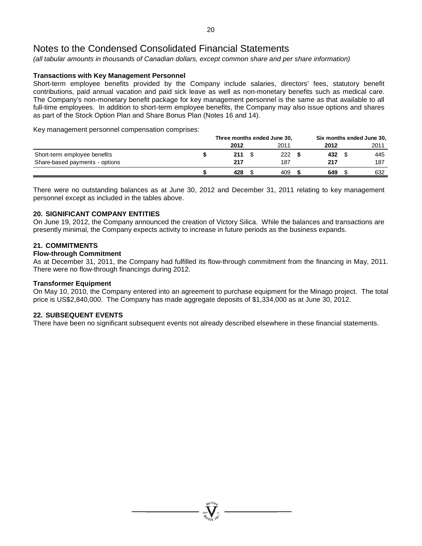*(all tabular amounts in thousands of Canadian dollars, except common share and per share information)*

#### **Transactions with Key Management Personnel**

Short-term employee benefits provided by the Company include salaries, directors' fees, statutory benefit contributions, paid annual vacation and paid sick leave as well as non-monetary benefits such as medical care. The Company's non-monetary benefit package for key management personnel is the same as that available to all full-time employees. In addition to short-term employee benefits, the Company may also issue options and shares as part of the Stock Option Plan and Share Bonus Plan (Notes 16 and 14).

Key management personnel compensation comprises:

|                                | Three months ended June 30, |  |      |  | Six months ended June 30, |  |      |
|--------------------------------|-----------------------------|--|------|--|---------------------------|--|------|
|                                | 2012                        |  | 2011 |  | 2012                      |  | 2011 |
| Short-term employee benefits   | 211                         |  | 222  |  | 432                       |  | 445  |
| Share-based payments - options | 217                         |  | 187  |  | 217                       |  | 187  |
|                                | 428                         |  | 409  |  | 649                       |  | 632  |

There were no outstanding balances as at June 30, 2012 and December 31, 2011 relating to key management personnel except as included in the tables above.

#### **20. SIGNIFICANT COMPANY ENTITIES**

On June 19, 2012, the Company announced the creation of Victory Silica. While the balances and transactions are presently minimal, the Company expects activity to increase in future periods as the business expands.

#### **21. COMMITMENTS**

#### **Flow-through Commitment**

As at December 31, 2011, the Company had fulfilled its flow-through commitment from the financing in May, 2011. There were no flow-through financings during 2012.

#### **Transformer Equipment**

On May 10, 2010, the Company entered into an agreement to purchase equipment for the Minago project. The total price is US\$2,840,000. The Company has made aggregate deposits of \$1,334,000 as at June 30, 2012.

#### **22. SUBSEQUENT EVENTS**

There have been no significant subsequent events not already described elsewhere in these financial statements.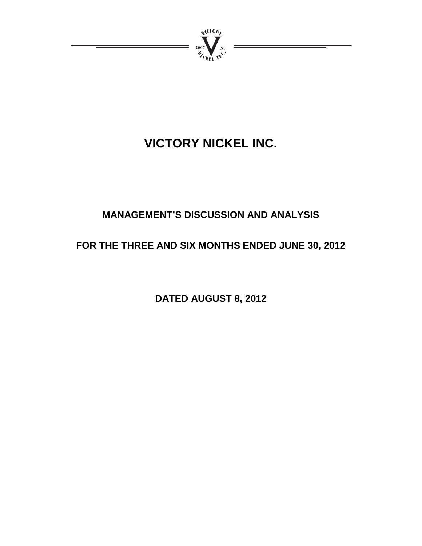

# **VICTORY NICKEL INC.**

# **MANAGEMENT'S DISCUSSION AND ANALYSIS**

# **FOR THE THREE AND SIX MONTHS ENDED JUNE 30, 2012**

**DATED AUGUST 8, 2012**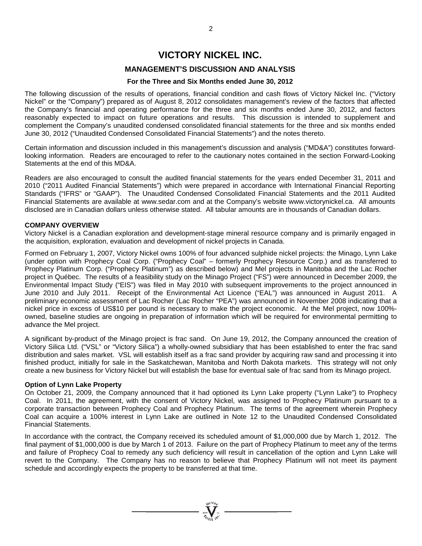# **VICTORY NICKEL INC.**

## **MANAGEMENT'S DISCUSSION AND ANALYSIS**

#### **For the Three and Six Months ended June 30, 2012**

The following discussion of the results of operations, financial condition and cash flows of Victory Nickel Inc. ("Victory Nickel" or the "Company") prepared as of August 8, 2012 consolidates management's review of the factors that affected the Company's financial and operating performance for the three and six months ended June 30, 2012, and factors reasonably expected to impact on future operations and results. This discussion is intended to supplement and complement the Company's unaudited condensed consolidated financial statements for the three and six months ended June 30, 2012 ("Unaudited Condensed Consolidated Financial Statements") and the notes thereto.

Certain information and discussion included in this management's discussion and analysis ("MD&A") constitutes forwardlooking information. Readers are encouraged to refer to the cautionary notes contained in the section Forward-Looking Statements at the end of this MD&A.

Readers are also encouraged to consult the audited financial statements for the years ended December 31, 2011 and 2010 ("2011 Audited Financial Statements") which were prepared in accordance with International Financial Reporting Standards ("IFRS" or "GAAP"). The Unaudited Condensed Consolidated Financial Statements and the 2011 Audited Financial Statements are available at www.sedar.com and at the Company's website www.victorynickel.ca. All amounts disclosed are in Canadian dollars unless otherwise stated. All tabular amounts are in thousands of Canadian dollars.

#### **COMPANY OVERVIEW**

Victory Nickel is a Canadian exploration and development-stage mineral resource company and is primarily engaged in the acquisition, exploration, evaluation and development of nickel projects in Canada.

Formed on February 1, 2007, Victory Nickel owns 100% of four advanced sulphide nickel projects: the Minago, Lynn Lake (under option with Prophecy Coal Corp. ("Prophecy Coal" – formerly Prophecy Resource Corp.) and as transferred to Prophecy Platinum Corp. ("Prophecy Platinum") as described below) and Mel projects in Manitoba and the Lac Rocher project in Québec. The results of a feasibility study on the Minago Project ("FS") were announced in December 2009, the Environmental Impact Study ("EIS") was filed in May 2010 with subsequent improvements to the project announced in June 2010 and July 2011. Receipt of the Environmental Act Licence ("EAL") was announced in August 2011. A preliminary economic assessment of Lac Rocher (Lac Rocher "PEA") was announced in November 2008 indicating that a nickel price in excess of US\$10 per pound is necessary to make the project economic. At the Mel project, now 100% owned, baseline studies are ongoing in preparation of information which will be required for environmental permitting to advance the Mel project.

A significant by-product of the Minago project is frac sand. On June 19, 2012, the Company announced the creation of Victory Silica Ltd. ("VSL" or "Victory Silica") a wholly-owned subsidiary that has been established to enter the frac sand distribution and sales market. VSL will establish itself as a frac sand provider by acquiring raw sand and processing it into finished product, initially for sale in the Saskatchewan, Manitoba and North Dakota markets. This strategy will not only create a new business for Victory Nickel but will establish the base for eventual sale of frac sand from its Minago project.

#### **Option of Lynn Lake Property**

On October 21, 2009, the Company announced that it had optioned its Lynn Lake property ("Lynn Lake") to Prophecy Coal. In 2011, the agreement, with the consent of Victory Nickel, was assigned to Prophecy Platinum pursuant to a corporate transaction between Prophecy Coal and Prophecy Platinum. The terms of the agreement wherein Prophecy Coal can acquire a 100% interest in Lynn Lake are outlined in Note 12 to the Unaudited Condensed Consolidated Financial Statements.

In accordance with the contract, the Company received its scheduled amount of \$1,000,000 due by March 1, 2012. The final payment of \$1,000,000 is due by March 1 of 2013. Failure on the part of Prophecy Platinum to meet any of the terms and failure of Prophecy Coal to remedy any such deficiency will result in cancellation of the option and Lynn Lake will revert to the Company. The Company has no reason to believe that Prophecy Platinum will not meet its payment schedule and accordingly expects the property to be transferred at that time.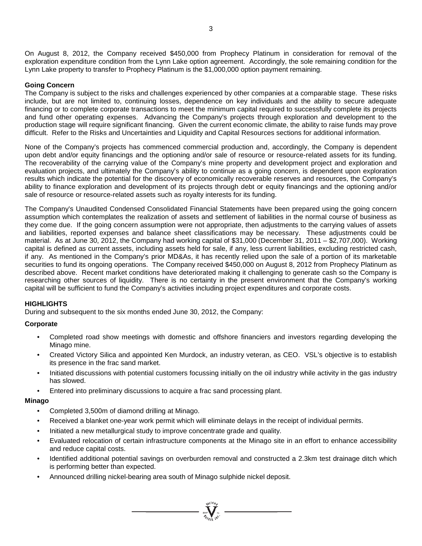On August 8, 2012, the Company received \$450,000 from Prophecy Platinum in consideration for removal of the exploration expenditure condition from the Lynn Lake option agreement. Accordingly, the sole remaining condition for the Lynn Lake property to transfer to Prophecy Platinum is the \$1,000,000 option payment remaining.

## **Going Concern**

The Company is subject to the risks and challenges experienced by other companies at a comparable stage. These risks include, but are not limited to, continuing losses, dependence on key individuals and the ability to secure adequate financing or to complete corporate transactions to meet the minimum capital required to successfully complete its projects and fund other operating expenses. Advancing the Company's projects through exploration and development to the production stage will require significant financing. Given the current economic climate, the ability to raise funds may prove difficult. Refer to the Risks and Uncertainties and Liquidity and Capital Resources sections for additional information.

None of the Company's projects has commenced commercial production and, accordingly, the Company is dependent upon debt and/or equity financings and the optioning and/or sale of resource or resource-related assets for its funding. The recoverability of the carrying value of the Company's mine property and development project and exploration and evaluation projects, and ultimately the Company's ability to continue as a going concern, is dependent upon exploration results which indicate the potential for the discovery of economically recoverable reserves and resources, the Company's ability to finance exploration and development of its projects through debt or equity financings and the optioning and/or sale of resource or resource-related assets such as royalty interests for its funding.

The Company's Unaudited Condensed Consolidated Financial Statements have been prepared using the going concern assumption which contemplates the realization of assets and settlement of liabilities in the normal course of business as they come due. If the going concern assumption were not appropriate, then adjustments to the carrying values of assets and liabilities, reported expenses and balance sheet classifications may be necessary. These adjustments could be material. As at June 30, 2012, the Company had working capital of \$31,000 (December 31, 2011 – \$2,707,000). Working capital is defined as current assets, including assets held for sale, if any, less current liabilities, excluding restricted cash, if any. As mentioned in the Company's prior MD&As, it has recently relied upon the sale of a portion of its marketable securities to fund its ongoing operations. The Company received \$450,000 on August 8, 2012 from Prophecy Platinum as described above. Recent market conditions have deteriorated making it challenging to generate cash so the Company is researching other sources of liquidity. There is no certainty in the present environment that the Company's working capital will be sufficient to fund the Company's activities including project expenditures and corporate costs.

### **HIGHLIGHTS**

During and subsequent to the six months ended June 30, 2012, the Company:

### **Corporate**

- Completed road show meetings with domestic and offshore financiers and investors regarding developing the Minago mine.
- Created Victory Silica and appointed Ken Murdock, an industry veteran, as CEO. VSL's objective is to establish its presence in the frac sand market.
- Initiated discussions with potential customers focussing initially on the oil industry while activity in the gas industry has slowed.
- Entered into preliminary discussions to acquire a frac sand processing plant.

### **Minago**

- Completed 3,500m of diamond drilling at Minago.
- Received a blanket one-year work permit which will eliminate delays in the receipt of individual permits.
- Initiated a new metallurgical study to improve concentrate grade and quality.
- Evaluated relocation of certain infrastructure components at the Minago site in an effort to enhance accessibility and reduce capital costs.
- Identified additional potential savings on overburden removal and constructed a 2.3km test drainage ditch which is performing better than expected.

=  $\sum_{j=1}^{N^{(10)}}$   $\sum_{j=1}^{N^{(10)}}$ 

• Announced drilling nickel-bearing area south of Minago sulphide nickel deposit.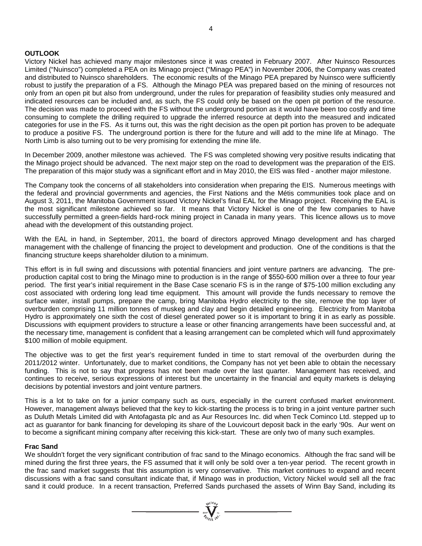#### **OUTLOOK**

Victory Nickel has achieved many major milestones since it was created in February 2007. After Nuinsco Resources Limited ("Nuinsco") completed a PEA on its Minago project ("Minago PEA") in November 2006, the Company was created and distributed to Nuinsco shareholders. The economic results of the Minago PEA prepared by Nuinsco were sufficiently robust to justify the preparation of a FS. Although the Minago PEA was prepared based on the mining of resources not only from an open pit but also from underground, under the rules for preparation of feasibility studies only measured and indicated resources can be included and, as such, the FS could only be based on the open pit portion of the resource. The decision was made to proceed with the FS without the underground portion as it would have been too costly and time consuming to complete the drilling required to upgrade the inferred resource at depth into the measured and indicated categories for use in the FS. As it turns out, this was the right decision as the open pit portion has proven to be adequate to produce a positive FS. The underground portion is there for the future and will add to the mine life at Minago. The North Limb is also turning out to be very promising for extending the mine life.

In December 2009, another milestone was achieved. The FS was completed showing very positive results indicating that the Minago project should be advanced. The next major step on the road to development was the preparation of the EIS. The preparation of this major study was a significant effort and in May 2010, the EIS was filed - another major milestone.

The Company took the concerns of all stakeholders into consideration when preparing the EIS. Numerous meetings with the federal and provincial governments and agencies, the First Nations and the Métis communities took place and on August 3, 2011, the Manitoba Government issued Victory Nickel's final EAL for the Minago project. Receiving the EAL is the most significant milestone achieved so far. It means that Victory Nickel is one of the few companies to have successfully permitted a green-fields hard-rock mining project in Canada in many years. This licence allows us to move ahead with the development of this outstanding project.

With the EAL in hand, in September, 2011, the board of directors approved Minago development and has charged management with the challenge of financing the project to development and production. One of the conditions is that the financing structure keeps shareholder dilution to a minimum.

This effort is in full swing and discussions with potential financiers and joint venture partners are advancing. The preproduction capital cost to bring the Minago mine to production is in the range of \$550-600 million over a three to four year period. The first year's initial requirement in the Base Case scenario FS is in the range of \$75-100 million excluding any cost associated with ordering long lead time equipment. This amount will provide the funds necessary to remove the surface water, install pumps, prepare the camp, bring Manitoba Hydro electricity to the site, remove the top layer of overburden comprising 11 million tonnes of muskeg and clay and begin detailed engineering. Electricity from Manitoba Hydro is approximately one sixth the cost of diesel generated power so it is important to bring it in as early as possible. Discussions with equipment providers to structure a lease or other financing arrangements have been successful and, at the necessary time, management is confident that a leasing arrangement can be completed which will fund approximately \$100 million of mobile equipment.

The objective was to get the first year's requirement funded in time to start removal of the overburden during the 2011/2012 winter. Unfortunately, due to market conditions, the Company has not yet been able to obtain the necessary funding. This is not to say that progress has not been made over the last quarter. Management has received, and continues to receive, serious expressions of interest but the uncertainty in the financial and equity markets is delaying decisions by potential investors and joint venture partners.

This is a lot to take on for a junior company such as ours, especially in the current confused market environment. However, management always believed that the key to kick-starting the process is to bring in a joint venture partner such as Duluth Metals Limited did with Antofagasta plc and as Aur Resources Inc. did when Teck Cominco Ltd. stepped up to act as guarantor for bank financing for developing its share of the Louvicourt deposit back in the early '90s. Aur went on to become a significant mining company after receiving this kick-start. These are only two of many such examples.

#### **Frac Sand**

We shouldn't forget the very significant contribution of frac sand to the Minago economics. Although the frac sand will be mined during the first three years, the FS assumed that it will only be sold over a ten-year period. The recent growth in the frac sand market suggests that this assumption is very conservative. This market continues to expand and recent discussions with a frac sand consultant indicate that, if Minago was in production, Victory Nickel would sell all the frac sand it could produce. In a recent transaction, Preferred Sands purchased the assets of Winn Bay Sand, including its

 $\sum_{2007}$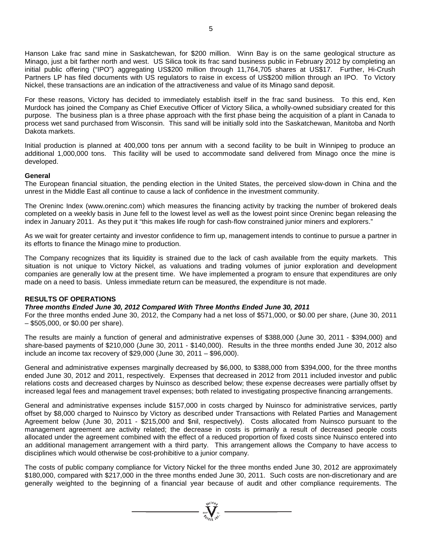For these reasons, Victory has decided to immediately establish itself in the frac sand business. To this end, Ken Murdock has joined the Company as Chief Executive Officer of Victory Silica, a wholly-owned subsidiary created for this purpose. The business plan is a three phase approach with the first phase being the acquisition of a plant in Canada to process wet sand purchased from Wisconsin. This sand will be initially sold into the Saskatchewan, Manitoba and North Dakota markets.

Initial production is planned at 400,000 tons per annum with a second facility to be built in Winnipeg to produce an additional 1,000,000 tons. This facility will be used to accommodate sand delivered from Minago once the mine is developed.

#### **General**

The European financial situation, the pending election in the United States, the perceived slow-down in China and the unrest in the Middle East all continue to cause a lack of confidence in the investment community.

The Oreninc Index [\(www.oreninc.com\)](http://www.oreninc.com/) which measures the financing activity by tracking the number of brokered deals completed on a weekly basis in June fell to the lowest level as well as the lowest point since Oreninc began releasing the index in January 2011. As they put it "this makes life rough for cash-flow constrained junior miners and explorers."

As we wait for greater certainty and investor confidence to firm up, management intends to continue to pursue a partner in its efforts to finance the Minago mine to production.

The Company recognizes that its liquidity is strained due to the lack of cash available from the equity markets. This situation is not unique to Victory Nickel, as valuations and trading volumes of junior exploration and development companies are generally low at the present time. We have implemented a program to ensure that expenditures are only made on a need to basis. Unless immediate return can be measured, the expenditure is not made.

### **RESULTS OF OPERATIONS**

#### *Three months Ended June 30, 2012 Compared With Three Months Ended June 30, 2011*

For the three months ended June 30, 2012, the Company had a net loss of \$571,000, or \$0.00 per share, (June 30, 2011 – \$505,000, or \$0.00 per share).

The results are mainly a function of general and administrative expenses of \$388,000 (June 30, 2011 - \$394,000) and share-based payments of \$210,000 (June 30, 2011 - \$140,000). Results in the three months ended June 30, 2012 also include an income tax recovery of \$29,000 (June 30, 2011 – \$96,000).

General and administrative expenses marginally decreased by \$6,000, to \$388,000 from \$394,000, for the three months ended June 30, 2012 and 2011, respectively. Expenses that decreased in 2012 from 2011 included investor and public relations costs and decreased charges by Nuinsco as described below; these expense decreases were partially offset by increased legal fees and management travel expenses; both related to investigating prospective financing arrangements.

General and administrative expenses include \$157,000 in costs charged by Nuinsco for administrative services, partly offset by \$8,000 charged to Nuinsco by Victory as described under Transactions with Related Parties and Management Agreement below (June 30, 2011 - \$215,000 and \$nil, respectively). Costs allocated from Nuinsco pursuant to the management agreement are activity related; the decrease in costs is primarily a result of decreased people costs allocated under the agreement combined with the effect of a reduced proportion of fixed costs since Nuinsco entered into an additional management arrangement with a third party. This arrangement allows the Company to have access to disciplines which would otherwise be cost-prohibitive to a junior company.

The costs of public company compliance for Victory Nickel for the three months ended June 30, 2012 are approximately \$180,000, compared with \$217,000 in the three months ended June 30, 2011. Such costs are non-discretionary and are generally weighted to the beginning of a financial year because of audit and other compliance requirements. The

 $\sum_{n=1}^{\infty} \sum_{n=1}^{\infty} \sum_{n=1}^{\infty}$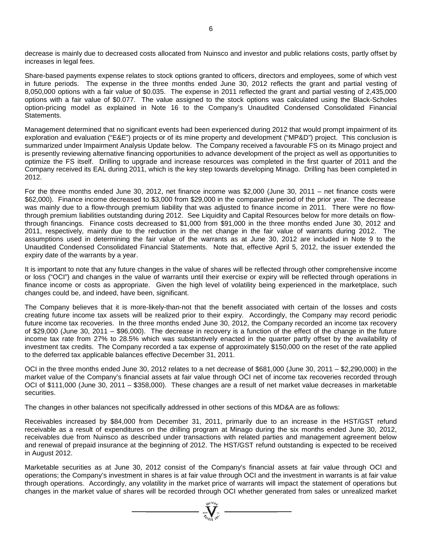decrease is mainly due to decreased costs allocated from Nuinsco and investor and public relations costs, partly offset by increases in legal fees.

Share-based payments expense relates to stock options granted to officers, directors and employees, some of which vest in future periods. The expense in the three months ended June 30, 2012 reflects the grant and partial vesting of 8,050,000 options with a fair value of \$0.035. The expense in 2011 reflected the grant and partial vesting of 2,435,000 options with a fair value of \$0.077. The value assigned to the stock options was calculated using the Black-Scholes option-pricing model as explained in Note 16 to the Company's Unaudited Condensed Consolidated Financial Statements.

Management determined that no significant events had been experienced during 2012 that would prompt impairment of its exploration and evaluation ("E&E") projects or of its mine property and development ("MP&D") project. This conclusion is summarized under Impairment Analysis Update below. The Company received a favourable FS on its Minago project and is presently reviewing alternative financing opportunities to advance development of the project as well as opportunities to optimize the FS itself. Drilling to upgrade and increase resources was completed in the first quarter of 2011 and the Company received its EAL during 2011, which is the key step towards developing Minago. Drilling has been completed in 2012.

For the three months ended June 30, 2012, net finance income was \$2,000 (June 30, 2011 – net finance costs were \$62,000). Finance income decreased to \$3,000 from \$29,000 in the comparative period of the prior year. The decrease was mainly due to a flow-through premium liability that was adjusted to finance income in 2011. There were no flowthrough premium liabilities outstanding during 2012. See Liquidity and Capital Resources below for more details on flowthrough financings. Finance costs decreased to \$1,000 from \$91,000 in the three months ended June 30, 2012 and 2011, respectively, mainly due to the reduction in the net change in the fair value of warrants during 2012. The assumptions used in determining the fair value of the warrants as at June 30, 2012 are included in Note 9 to the Unaudited Condensed Consolidated Financial Statements. Note that, effective April 5, 2012, the issuer extended the expiry date of the warrants by a year.

It is important to note that any future changes in the value of shares will be reflected through other comprehensive income or loss ("OCI") and changes in the value of warrants until their exercise or expiry will be reflected through operations in finance income or costs as appropriate. Given the high level of volatility being experienced in the marketplace, such changes could be, and indeed, have been, significant.

The Company believes that it is more-likely-than-not that the benefit associated with certain of the losses and costs creating future income tax assets will be realized prior to their expiry. Accordingly, the Company may record periodic future income tax recoveries. In the three months ended June 30, 2012, the Company recorded an income tax recovery of \$29,000 (June 30, 2011 – \$96,000). The decrease in recovery is a function of the effect of the change in the future income tax rate from 27% to 28.5% which was substantively enacted in the quarter partly offset by the availability of investment tax credits. The Company recorded a tax expense of approximately \$150,000 on the reset of the rate applied to the deferred tax applicable balances effective December 31, 2011.

OCI in the three months ended June 30, 2012 relates to a net decrease of \$681,000 (June 30, 2011 – \$2,290,000) in the market value of the Company's financial assets at fair value through OCI net of income tax recoveries recorded through OCI of \$111,000 (June 30, 2011 – \$358,000). These changes are a result of net market value decreases in marketable securities.

The changes in other balances not specifically addressed in other sections of this MD&A are as follows:

Receivables increased by \$84,000 from December 31, 2011, primarily due to an increase in the HST/GST refund receivable as a result of expenditures on the drilling program at Minago during the six months ended June 30, 2012, receivables due from Nuinsco as described under transactions with related parties and management agreement below and renewal of prepaid insurance at the beginning of 2012. The HST/GST refund outstanding is expected to be received in August 2012.

Marketable securities as at June 30, 2012 consist of the Company's financial assets at fair value through OCI and operations; the Company's investment in shares is at fair value through OCI and the investment in warrants is at fair value through operations. Accordingly, any volatility in the market price of warrants will impact the statement of operations but changes in the market value of shares will be recorded through OCI whether generated from sales or unrealized market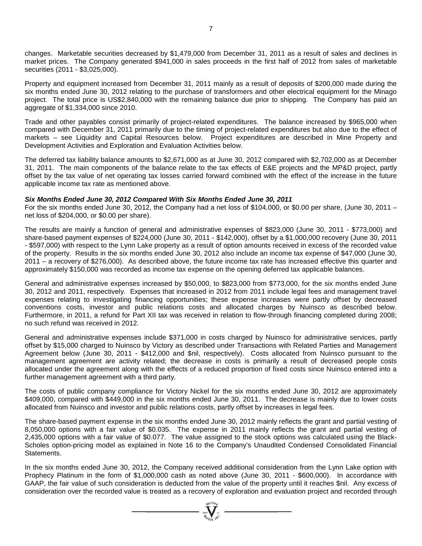changes. Marketable securities decreased by \$1,479,000 from December 31, 2011 as a result of sales and declines in market prices. The Company generated \$941,000 in sales proceeds in the first half of 2012 from sales of marketable securities (2011 - \$3,025,000).

Property and equipment increased from December 31, 2011 mainly as a result of deposits of \$200,000 made during the six months ended June 30, 2012 relating to the purchase of transformers and other electrical equipment for the Minago project. The total price is US\$2,840,000 with the remaining balance due prior to shipping. The Company has paid an aggregate of \$1,334,000 since 2010.

Trade and other payables consist primarily of project-related expenditures. The balance increased by \$965,000 when compared with December 31, 2011 primarily due to the timing of project-related expenditures but also due to the effect of markets – see Liquidity and Capital Resources below. Project expenditures are described in Mine Property and Development Activities and Exploration and Evaluation Activities below.

The deferred tax liability balance amounts to \$2,671,000 as at June 30, 2012 compared with \$2,702,000 as at December 31, 2011. The main components of the balance relate to the tax effects of E&E projects and the MP&D project, partly offset by the tax value of net operating tax losses carried forward combined with the effect of the increase in the future applicable income tax rate as mentioned above.

#### *Six Months Ended June 30, 2012 Compared With Six Months Ended June 30, 2011*

For the six months ended June 30, 2012, the Company had a net loss of \$104,000, or \$0.00 per share, (June 30, 2011 – net loss of \$204,000, or \$0.00 per share).

The results are mainly a function of general and administrative expenses of \$823,000 (June 30, 2011 - \$773,000) and share-based payment expenses of \$224,000 (June 30, 2011 - \$142,000), offset by a \$1,000,000 recovery (June 30, 2011 - \$597,000) with respect to the Lynn Lake property as a result of option amounts received in excess of the recorded value of the property. Results in the six months ended June 30, 2012 also include an income tax expense of \$47,000 (June 30, 2011 – a recovery of \$276,000). As described above, the future income tax rate has increased effective this quarter and approximately \$150,000 was recorded as income tax expense on the opening deferred tax applicable balances.

General and administrative expenses increased by \$50,000, to \$823,000 from \$773,000, for the six months ended June 30, 2012 and 2011, respectively. Expenses that increased in 2012 from 2011 include legal fees and management travel expenses relating to investigating financing opportunities; these expense increases were partly offset by decreased conventions costs, investor and public relations costs and allocated charges by Nuinsco as described below. Furthermore, in 2011, a refund for Part XII tax was received in relation to flow-through financing completed during 2008; no such refund was received in 2012.

General and administrative expenses include \$371,000 in costs charged by Nuinsco for administrative services, partly offset by \$15,000 charged to Nuinsco by Victory as described under Transactions with Related Parties and Management Agreement below (June 30, 2011 - \$412,000 and \$nil, respectively). Costs allocated from Nuinsco pursuant to the management agreement are activity related; the decrease in costs is primarily a result of decreased people costs allocated under the agreement along with the effects of a reduced proportion of fixed costs since Nuinsco entered into a further management agreement with a third party.

The costs of public company compliance for Victory Nickel for the six months ended June 30, 2012 are approximately \$409,000, compared with \$449,000 in the six months ended June 30, 2011. The decrease is mainly due to lower costs allocated from Nuinsco and investor and public relations costs, partly offset by increases in legal fees.

The share-based payment expense in the six months ended June 30, 2012 mainly reflects the grant and partial vesting of 8,050,000 options with a fair value of \$0.035. The expense in 2011 mainly reflects the grant and partial vesting of 2,435,000 options with a fair value of \$0.077. The value assigned to the stock options was calculated using the Black-Scholes option-pricing model as explained in Note 16 to the Company's Unaudited Condensed Consolidated Financial Statements.

In the six months ended June 30, 2012, the Company received additional consideration from the Lynn Lake option with Prophecy Platinum in the form of \$1,000,000 cash as noted above (June 30, 2011 - \$600,000). In accordance with GAAP, the fair value of such consideration is deducted from the value of the property until it reaches \$nil. Any excess of consideration over the recorded value is treated as a recovery of exploration and evaluation project and recorded through

 $\sum_{n=1}^{\text{NLOB}}$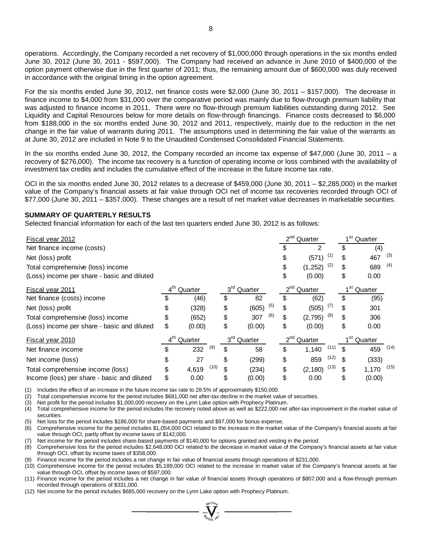operations. Accordingly, the Company recorded a net recovery of \$1,000,000 through operations in the six months ended June 30, 2012 (June 30, 2011 - \$597,000). The Company had received an advance in June 2010 of \$400,000 of the option payment otherwise due in the first quarter of 2011; thus, the remaining amount due of \$600,000 was duly received in accordance with the original timing in the option agreement.

For the six months ended June 30, 2012, net finance costs were \$2,000 (June 30, 2011 – \$157,000). The decrease in finance income to \$4,000 from \$31,000 over the comparative period was mainly due to flow-through premium liability that was adjusted to finance income in 2011. There were no flow-through premium liabilities outstanding during 2012. See Liquidity and Capital Resources below for more details on flow-through financings. Finance costs decreased to \$6,000 from \$188,000 in the six months ended June 30, 2012 and 2011, respectively, mainly due to the reduction in the net change in the fair value of warrants during 2011. The assumptions used in determining the fair value of the warrants as at June 30, 2012 are included in Note 9 to the Unaudited Condensed Consolidated Financial Statements.

In the six months ended June 30, 2012, the Company recorded an income tax expense of \$47,000 (June 30, 2011 – a recovery of \$276,000). The income tax recovery is a function of operating income or loss combined with the availability of investment tax credits and includes the cumulative effect of the increase in the future income tax rate.

OCI in the six months ended June 30, 2012 relates to a decrease of \$459,000 (June 30, 2011 – \$2,285,000) in the market value of the Company's financial assets at fair value through OCI net of income tax recoveries recorded through OCI of \$77,000 (June 30, 2011 – \$357,000). These changes are a result of net market value decreases in marketable securities.

#### **SUMMARY OF QUARTERLY RESULTS**

Selected financial information for each of the last ten quarters ended June 30, 2012 is as follows:

| Fiscal year 2012                            |                            |               |                            |              |                            | $2^{nd}$<br>Quarter | 1 <sup>st</sup> Quarter |                            |               |  |  |
|---------------------------------------------|----------------------------|---------------|----------------------------|--------------|----------------------------|---------------------|-------------------------|----------------------------|---------------|--|--|
| Net finance income (costs)                  |                            |               |                            |              |                            | $\mathfrak{p}$      |                         | \$                         | (4)           |  |  |
| Net (loss) profit                           |                            |               |                            |              | \$                         | (571)               | (1)                     | S                          | (3)<br>467    |  |  |
| Total comprehensive (loss) income           |                            |               |                            |              | \$                         | (1, 252)            | (2)                     | \$                         | (4)<br>689    |  |  |
| (Loss) income per share - basic and diluted |                            |               |                            |              | \$                         | (0.00)              |                         | \$                         | 0.00          |  |  |
| Fiscal year 2011                            | 4 <sup>th</sup><br>Quarter |               | $3^{\text{rd}}$            | Quarter      | 2 <sup>nd</sup><br>Quarter |                     |                         | 1 <sup>st</sup><br>Quarter |               |  |  |
| Net finance (costs) income                  | \$                         | (46)          | \$                         | 82           | \$                         | (62)                |                         | \$                         | (95)          |  |  |
| Net (loss) profit                           | \$                         | (328)         | \$                         | (5)<br>(605) | \$                         | (505)               | (7)                     | \$                         | 301           |  |  |
| Total comprehensive (loss) income           | \$                         | (652)         | \$                         | (6)<br>307   | \$                         | (2,795)             | (8)                     | \$                         | 306           |  |  |
| (Loss) income per share - basic and diluted | \$                         | (0.00)        | \$                         | (0.00)       | \$                         | (0.00)              |                         | \$                         | 0.00          |  |  |
| <b>Fiscal year 2010</b>                     | $4^{\text{th}}$<br>Quarter |               | $3^{\text{rd}}$<br>Quarter |              | 2 <sup>nd</sup> Quarter    |                     | 1 <sup>st</sup> Quarter |                            |               |  |  |
| Net finance income                          | \$                         | (9)<br>232    | S                          | 58           | \$                         | 1,140               | (11)                    | \$.                        | (14)<br>459   |  |  |
| Net income (loss)                           | \$                         | 27            | \$                         | (299)        | \$                         | 859                 | (12)                    | \$                         | (333)         |  |  |
| Total comprehensive income (loss)           | \$                         | (10)<br>4,619 | \$                         | (234)        | \$                         | (2, 180)            | (13)                    | \$                         | (15)<br>1,170 |  |  |
| Income (loss) per share - basic and diluted | \$                         | 0.00          | \$                         | (0.00)       | \$                         | 0.00                |                         | \$                         | (0.00)        |  |  |

(1) Includes the effect of an increase in the future income tax rate to 28.5% of approximately \$150,000.

(2) Total comprehensive income for the period includes \$681,000 net after-tax decline in the market value of securities.

(3) Net profit for the period includes \$1,000,000 recovery on the Lynn Lake option with Prophecy Platinum.

(4) Total comprehensive income for the period includes the recovery noted above as well as \$222,000 net after-tax improvement in the market value of securities.

(5) Net loss for the period includes \$186,000 for share-based payments and \$97,000 for bonus expense.

(6) Comprehensive income for the period includes \$1,054,000 OCI related to the increase in the market value of the Company's financial assets at fair value through OCI, partly offset by income taxes of \$142,000.

Net income for the period includes share-based payments of \$140,000 for options granted and vesting in the period.

(8) Comprehensive loss for the period includes \$2,648,000 OCI related to the decrease in market value of the Company's financial assets at fair value through OCI, offset by income taxes of \$358,000.

(9) Finance income for the period includes a net change in fair value of financial assets through operations of \$231,000.

(10) Comprehensive income for the period includes \$5,189,000 OCI related to the increase in market value of the Company's financial assets at fair value through OCI, offset by income taxes of \$597,000.

(11) Finance income for the period includes a net change in fair value of financial assets through operations of \$807,000 and a flow-through premium recorded through operations of \$331,000.

 $\sum_{n=1}^{N_{\rm CIO}}\sum_{n=1}^{N_{\rm CIO}}$ 

(12) Net income for the period includes \$685,000 recovery on the Lynn Lake option with Prophecy Platinum.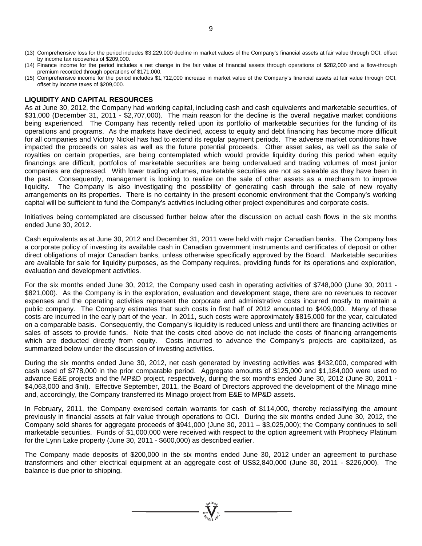- (13) Comprehensive loss for the period includes \$3,229,000 decline in market values of the Company's financial assets at fair value through OCI, offset by income tax recoveries of \$209,000.
- (14) Finance income for the period includes a net change in the fair value of financial assets through operations of \$282,000 and a flow-through premium recorded through operations of \$171,000.
- (15) Comprehensive income for the period includes \$1,712,000 increase in market value of the Company's financial assets at fair value through OCI, offset by income taxes of \$209,000.

#### **LIQUIDITY AND CAPITAL RESOURCES**

As at June 30, 2012, the Company had working capital, including cash and cash equivalents and marketable securities, of \$31,000 (December 31, 2011 - \$2,707,000). The main reason for the decline is the overall negative market conditions being experienced. The Company has recently relied upon its portfolio of marketable securities for the funding of its operations and programs. As the markets have declined, access to equity and debt financing has become more difficult for all companies and Victory Nickel has had to extend its regular payment periods. The adverse market conditions have impacted the proceeds on sales as well as the future potential proceeds. Other asset sales, as well as the sale of royalties on certain properties, are being contemplated which would provide liquidity during this period when equity financings are difficult, portfolios of marketable securities are being undervalued and trading volumes of most junior companies are depressed. With lower trading volumes, marketable securities are not as saleable as they have been in the past. Consequently, management is looking to realize on the sale of other assets as a mechanism to improve liquidity. The Company is also investigating the possibility of generating cash through the sale of new royalty arrangements on its properties. There is no certainty in the present economic environment that the Company's working capital will be sufficient to fund the Company's activities including other project expenditures and corporate costs.

Initiatives being contemplated are discussed further below after the discussion on actual cash flows in the six months ended June 30, 2012.

Cash equivalents as at June 30, 2012 and December 31, 2011 were held with major Canadian banks. The Company has a corporate policy of investing its available cash in Canadian government instruments and certificates of deposit or other direct obligations of major Canadian banks, unless otherwise specifically approved by the Board. Marketable securities are available for sale for liquidity purposes, as the Company requires, providing funds for its operations and exploration, evaluation and development activities.

For the six months ended June 30, 2012, the Company used cash in operating activities of \$748,000 (June 30, 2011 - \$821,000). As the Company is in the exploration, evaluation and development stage, there are no revenues to recover expenses and the operating activities represent the corporate and administrative costs incurred mostly to maintain a public company. The Company estimates that such costs in first half of 2012 amounted to \$409,000. Many of these costs are incurred in the early part of the year. In 2011, such costs were approximately \$815,000 for the year, calculated on a comparable basis. Consequently, the Company's liquidity is reduced unless and until there are financing activities or sales of assets to provide funds. Note that the costs cited above do not include the costs of financing arrangements which are deducted directly from equity. Costs incurred to advance the Company's projects are capitalized, as summarized below under the discussion of investing activities.

During the six months ended June 30, 2012, net cash generated by investing activities was \$432,000, compared with cash used of \$778,000 in the prior comparable period. Aggregate amounts of \$125,000 and \$1,184,000 were used to advance E&E projects and the MP&D project, respectively, during the six months ended June 30, 2012 (June 30, 2011 - \$4,063,000 and \$nil). Effective September, 2011, the Board of Directors approved the development of the Minago mine and, accordingly, the Company transferred its Minago project from E&E to MP&D assets.

In February, 2011, the Company exercised certain warrants for cash of \$114,000, thereby reclassifying the amount previously in financial assets at fair value through operations to OCI. During the six months ended June 30, 2012, the Company sold shares for aggregate proceeds of \$941,000 (June 30, 2011 – \$3,025,000); the Company continues to sell marketable securities. Funds of \$1,000,000 were received with respect to the option agreement with Prophecy Platinum for the Lynn Lake property (June 30, 2011 - \$600,000) as described earlier.

The Company made deposits of \$200,000 in the six months ended June 30, 2012 under an agreement to purchase transformers and other electrical equipment at an aggregate cost of US\$2,840,000 (June 30, 2011 - \$226,000). The balance is due prior to shipping.

 $\sum_{n=1}^{\infty} \sum_{j=1}^{N}$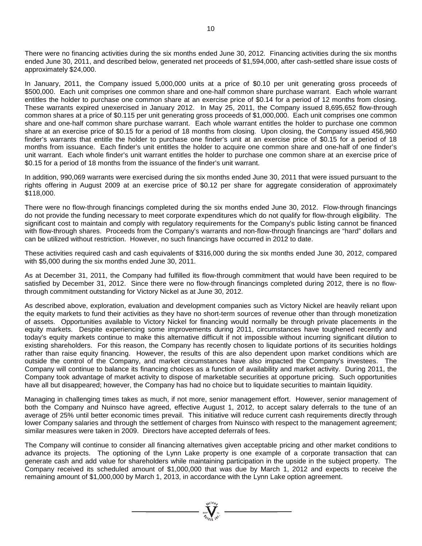There were no financing activities during the six months ended June 30, 2012. Financing activities during the six months ended June 30, 2011, and described below, generated net proceeds of \$1,594,000, after cash-settled share issue costs of approximately \$24,000.

In January, 2011, the Company issued 5,000,000 units at a price of \$0.10 per unit generating gross proceeds of \$500,000. Each unit comprises one common share and one-half common share purchase warrant. Each whole warrant entitles the holder to purchase one common share at an exercise price of \$0.14 for a period of 12 months from closing. These warrants expired unexercised in January 2012. In May 25, 2011, the Company issued 8,695,652 flow-through common shares at a price of \$0.115 per unit generating gross proceeds of \$1,000,000. Each unit comprises one common share and one-half common share purchase warrant. Each whole warrant entitles the holder to purchase one common share at an exercise price of \$0.15 for a period of 18 months from closing. Upon closing, the Company issued 456,960 finder's warrants that entitle the holder to purchase one finder's unit at an exercise price of \$0.15 for a period of 18 months from issuance. Each finder's unit entitles the holder to acquire one common share and one-half of one finder's unit warrant. Each whole finder's unit warrant entitles the holder to purchase one common share at an exercise price of \$0.15 for a period of 18 months from the issuance of the finder's unit warrant.

In addition, 990,069 warrants were exercised during the six months ended June 30, 2011 that were issued pursuant to the rights offering in August 2009 at an exercise price of \$0.12 per share for aggregate consideration of approximately \$118,000.

There were no flow-through financings completed during the six months ended June 30, 2012. Flow-through financings do not provide the funding necessary to meet corporate expenditures which do not qualify for flow-through eligibility. The significant cost to maintain and comply with regulatory requirements for the Company's public listing cannot be financed with flow-through shares. Proceeds from the Company's warrants and non-flow-through financings are "hard" dollars and can be utilized without restriction. However, no such financings have occurred in 2012 to date.

These activities required cash and cash equivalents of \$316,000 during the six months ended June 30, 2012, compared with \$5,000 during the six months ended June 30, 2011.

As at December 31, 2011, the Company had fulfilled its flow-through commitment that would have been required to be satisfied by December 31, 2012. Since there were no flow-through financings completed during 2012, there is no flowthrough commitment outstanding for Victory Nickel as at June 30, 2012.

As described above, exploration, evaluation and development companies such as Victory Nickel are heavily reliant upon the equity markets to fund their activities as they have no short-term sources of revenue other than through monetization of assets. Opportunities available to Victory Nickel for financing would normally be through private placements in the equity markets. Despite experiencing some improvements during 2011, circumstances have toughened recently and today's equity markets continue to make this alternative difficult if not impossible without incurring significant dilution to existing shareholders. For this reason, the Company has recently chosen to liquidate portions of its securities holdings rather than raise equity financing. However, the results of this are also dependent upon market conditions which are outside the control of the Company, and market circumstances have also impacted the Company's investees. The Company will continue to balance its financing choices as a function of availability and market activity. During 2011, the Company took advantage of market activity to dispose of marketable securities at opportune pricing. Such opportunities have all but disappeared; however, the Company has had no choice but to liquidate securities to maintain liquidity.

Managing in challenging times takes as much, if not more, senior management effort. However, senior management of both the Company and Nuinsco have agreed, effective August 1, 2012, to accept salary deferrals to the tune of an average of 25% until better economic times prevail. This initiative will reduce current cash requirements directly through lower Company salaries and through the settlement of charges from Nuinsco with respect to the management agreement; similar measures were taken in 2009. Directors have accepted deferrals of fees.

The Company will continue to consider all financing alternatives given acceptable pricing and other market conditions to advance its projects. The optioning of the Lynn Lake property is one example of a corporate transaction that can generate cash and add value for shareholders while maintaining participation in the upside in the subject property. The Company received its scheduled amount of \$1,000,000 that was due by March 1, 2012 and expects to receive the remaining amount of \$1,000,000 by March 1, 2013, in accordance with the Lynn Lake option agreement.

 $\sum_{n=1}^{\infty} \sum_{n=1}^{\infty}$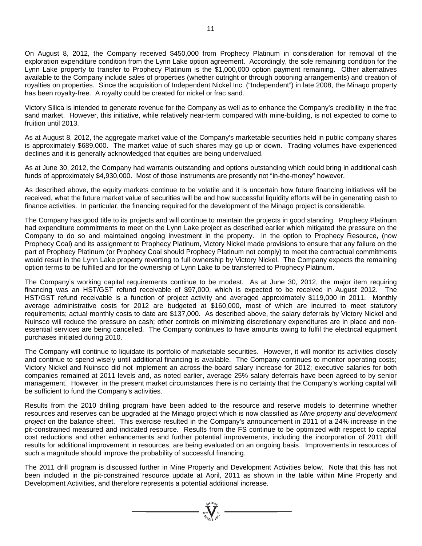On August 8, 2012, the Company received \$450,000 from Prophecy Platinum in consideration for removal of the exploration expenditure condition from the Lynn Lake option agreement. Accordingly, the sole remaining condition for the Lynn Lake property to transfer to Prophecy Platinum is the \$1,000,000 option payment remaining. Other alternatives available to the Company include sales of properties (whether outright or through optioning arrangements) and creation of royalties on properties. Since the acquisition of Independent Nickel Inc. ("Independent") in late 2008, the Minago property has been royalty-free. A royalty could be created for nickel or frac sand.

Victory Silica is intended to generate revenue for the Company as well as to enhance the Company's credibility in the frac sand market. However, this initiative, while relatively near-term compared with mine-building, is not expected to come to fruition until 2013.

As at August 8, 2012, the aggregate market value of the Company's marketable securities held in public company shares is approximately \$689,000. The market value of such shares may go up or down. Trading volumes have experienced declines and it is generally acknowledged that equities are being undervalued.

As at June 30, 2012, the Company had warrants outstanding and options outstanding which could bring in additional cash funds of approximately \$4,930,000. Most of those instruments are presently not "in-the-money" however.

As described above, the equity markets continue to be volatile and it is uncertain how future financing initiatives will be received, what the future market value of securities will be and how successful liquidity efforts will be in generating cash to finance activities. In particular, the financing required for the development of the Minago project is considerable.

The Company has good title to its projects and will continue to maintain the projects in good standing. Prophecy Platinum had expenditure commitments to meet on the Lynn Lake project as described earlier which mitigated the pressure on the Company to do so and maintained ongoing investment in the property. In the option to Prophecy Resource, (now Prophecy Coal) and its assignment to Prophecy Platinum, Victory Nickel made provisions to ensure that any failure on the part of Prophecy Platinum (or Prophecy Coal should Prophecy Platinum not comply) to meet the contractual commitments would result in the Lynn Lake property reverting to full ownership by Victory Nickel. The Company expects the remaining option terms to be fulfilled and for the ownership of Lynn Lake to be transferred to Prophecy Platinum.

The Company's working capital requirements continue to be modest. As at June 30, 2012, the major item requiring financing was an HST/GST refund receivable of \$97,000, which is expected to be received in August 2012. The HST/GST refund receivable is a function of project activity and averaged approximately \$119,000 in 2011. Monthly average administrative costs for 2012 are budgeted at \$160,000, most of which are incurred to meet statutory requirements; actual monthly costs to date are \$137,000. As described above, the salary deferrals by Victory Nickel and Nuinsco will reduce the pressure on cash; other controls on minimizing discretionary expenditures are in place and nonessential services are being cancelled. The Company continues to have amounts owing to fulfil the electrical equipment purchases initiated during 2010.

The Company will continue to liquidate its portfolio of marketable securities. However, it will monitor its activities closely and continue to spend wisely until additional financing is available. The Company continues to monitor operating costs; Victory Nickel and Nuinsco did not implement an across-the-board salary increase for 2012; executive salaries for both companies remained at 2011 levels and, as noted earlier, average 25% salary deferrals have been agreed to by senior management. However, in the present market circumstances there is no certainty that the Company's working capital will be sufficient to fund the Company's activities.

Results from the 2010 drilling program have been added to the resource and reserve models to determine whether resources and reserves can be upgraded at the Minago project which is now classified as *Mine property and development project* on the balance sheet. This exercise resulted in the Company's announcement in 2011 of a 24% increase in the pit-constrained measured and indicated resource. Results from the FS continue to be optimized with respect to capital cost reductions and other enhancements and further potential improvements, including the incorporation of 2011 drill results for additional improvement in resources, are being evaluated on an ongoing basis. Improvements in resources of such a magnitude should improve the probability of successful financing.

The 2011 drill program is discussed further in Mine Property and Development Activities below. Note that this has not been included in the pit-constrained resource update at April, 2011 as shown in the table within Mine Property and Development Activities, and therefore represents a potential additional increase.

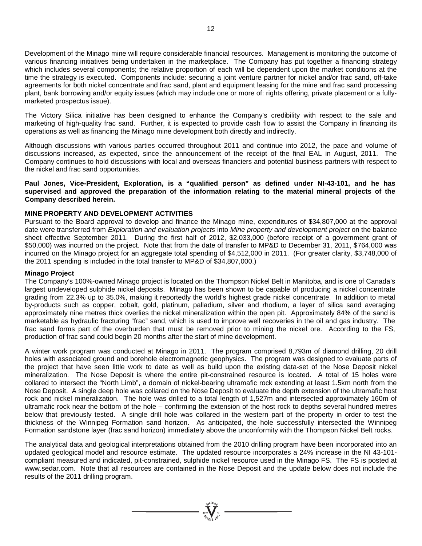Development of the Minago mine will require considerable financial resources. Management is monitoring the outcome of various financing initiatives being undertaken in the marketplace. The Company has put together a financing strategy which includes several components; the relative proportion of each will be dependent upon the market conditions at the time the strategy is executed. Components include: securing a joint venture partner for nickel and/or frac sand, off-take agreements for both nickel concentrate and frac sand, plant and equipment leasing for the mine and frac sand processing plant, bank borrowing and/or equity issues (which may include one or more of: rights offering, private placement or a fullymarketed prospectus issue).

The Victory Silica initiative has been designed to enhance the Company's credibility with respect to the sale and marketing of high-quality frac sand. Further, it is expected to provide cash flow to assist the Company in financing its operations as well as financing the Minago mine development both directly and indirectly.

Although discussions with various parties occurred throughout 2011 and continue into 2012, the pace and volume of discussions increased, as expected, since the announcement of the receipt of the final EAL in August, 2011. The Company continues to hold discussions with local and overseas financiers and potential business partners with respect to the nickel and frac sand opportunities.

**Paul Jones, Vice-President, Exploration, is a "qualified person" as defined under NI-43-101, and he has supervised and approved the preparation of the information relating to the material mineral projects of the Company described herein.**

### **MINE PROPERTY AND DEVELOPMENT ACTIVITIES**

Pursuant to the Board approval to develop and finance the Minago mine, expenditures of \$34,807,000 at the approval date were transferred from *Exploration and evaluation projects* into *Mine property and development project* on the balance sheet effective September 2011. During the first half of 2012, \$2,033,000 (before receipt of a government grant of \$50,000) was incurred on the project. Note that from the date of transfer to MP&D to December 31, 2011, \$764,000 was incurred on the Minago project for an aggregate total spending of \$4,512,000 in 2011. (For greater clarity, \$3,748,000 of the 2011 spending is included in the total transfer to MP&D of \$34,807,000.)

#### **Minago Project**

The Company's 100%-owned Minago project is located on the Thompson Nickel Belt in Manitoba, and is one of Canada's largest undeveloped sulphide nickel deposits. Minago has been shown to be capable of producing a nickel concentrate grading from 22.3% up to 35.0%, making it reportedly the world's highest grade nickel concentrate. In addition to metal by-products such as copper, cobalt, gold, platinum, palladium, silver and rhodium, a layer of silica sand averaging approximately nine metres thick overlies the nickel mineralization within the open pit. Approximately 84% of the sand is marketable as hydraulic fracturing "frac" sand, which is used to improve well recoveries in the oil and gas industry. The frac sand forms part of the overburden that must be removed prior to mining the nickel ore. According to the FS, production of frac sand could begin 20 months after the start of mine development.

A winter work program was conducted at Minago in 2011. The program comprised 8,793m of diamond drilling, 20 drill holes with associated ground and borehole electromagnetic geophysics. The program was designed to evaluate parts of the project that have seen little work to date as well as build upon the existing data-set of the Nose Deposit nickel mineralization. The Nose Deposit is where the entire pit-constrained resource is located. A total of 15 holes were collared to intersect the "North Limb", a domain of nickel-bearing ultramafic rock extending at least 1.5km north from the Nose Deposit. A single deep hole was collared on the Nose Deposit to evaluate the depth extension of the ultramafic host rock and nickel mineralization. The hole was drilled to a total length of 1,527m and intersected approximately 160m of ultramafic rock near the bottom of the hole – confirming the extension of the host rock to depths several hundred metres below that previously tested. A single drill hole was collared in the western part of the property in order to test the thickness of the Winnipeg Formation sand horizon. As anticipated, the hole successfully intersected the Winnipeg Formation sandstone layer (frac sand horizon) immediately above the unconformity with the Thompson Nickel Belt rocks.

The analytical data and geological interpretations obtained from the 2010 drilling program have been incorporated into an updated geological model and resource estimate. The updated resource incorporates a 24% increase in the NI 43-101 compliant measured and indicated, pit-constrained, sulphide nickel resource used in the Minago FS. The FS is posted at [www.sedar.com.](http://www.sedar.com/) Note that all resources are contained in the Nose Deposit and the update below does not include the results of the 2011 drilling program.

 $\sum_{n=1}^{\infty}$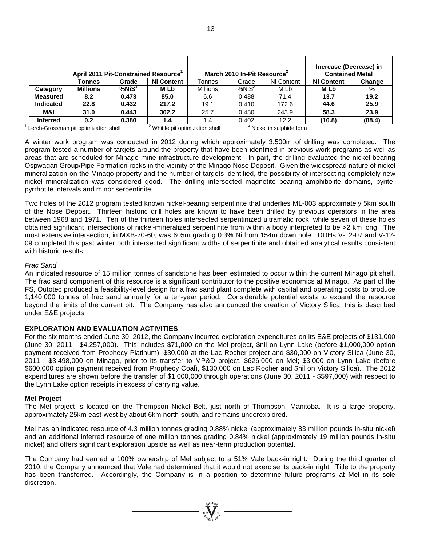| April 2011 Pit-Constrained Resource |                                       |              |                                             | March 2010 In-Pit Resource <sup>2</sup> | Increase (Decrease) in<br><b>Contained Metal</b> |                                      |                   |        |
|-------------------------------------|---------------------------------------|--------------|---------------------------------------------|-----------------------------------------|--------------------------------------------------|--------------------------------------|-------------------|--------|
|                                     | Tonnes                                | Grade        | <b>Ni Content</b>                           | Tonnes                                  | Grade                                            | Ni Content                           | <b>Ni Content</b> | Change |
| Category                            | <b>Millions</b>                       | $%$ Ni $S^3$ | M Lb                                        | <b>Millions</b>                         | %NiS <sup>3</sup>                                | M Lb                                 | M Lb              | %      |
| <b>Measured</b>                     | 8.2                                   | 0.473        | 85.0                                        | 6.6                                     | 0.488                                            | 71.4                                 | 13.7              | 19.2   |
| <b>Indicated</b>                    | 22.8                                  | 0.432        | 217.2                                       | 19.1                                    | 0.410                                            | 172.6                                | 44.6              | 25.9   |
| M&I                                 | 31.0                                  | 0.443        | 302.2                                       | 25.7                                    | 0.430                                            | 243.9                                | 58.3              | 23.9   |
| <b>Inferred</b>                     | 0.2                                   | 0.380        | 1.4                                         | 1.4                                     | 0.402                                            | 12.2                                 | (10.8)            | (88.4) |
|                                     | Lerch-Grossman pit optimization shell |              | <sup>2</sup> Whittle pit optimization shell |                                         |                                                  | <sup>3</sup> Nickel in sulphide form |                   |        |

A winter work program was conducted in 2012 during which approximately 3,500m of drilling was completed. The program tested a number of targets around the property that have been identified in previous work programs as well as areas that are scheduled for Minago mine infrastructure development. In part, the drilling evaluated the nickel-bearing Ospwagan Group/Pipe Formation rocks in the vicinity of the Minago Nose Deposit. Given the widespread nature of nickel mineralization on the Minago property and the number of targets identified, the possibility of intersecting completely new nickel mineralization was considered good. The drilling intersected magnetite bearing amphibolite domains, pyritepyrrhotite intervals and minor serpentinite.

Two holes of the 2012 program tested known nickel-bearing serpentinite that underlies ML-003 approximately 5km south of the Nose Deposit. Thirteen historic drill holes are known to have been drilled by previous operators in the area between 1968 and 1971. Ten of the thirteen holes intersected serpentinized ultramafic rock, while seven of these holes obtained significant intersections of nickel-mineralized serpentinite from within a body interpreted to be >2 km long. The most extensive intersection, in MXB-70-60, was 605m grading 0.3% Ni from 154m down hole. DDHs V-12-07 and V-12- 09 completed this past winter both intersected significant widths of serpentinite and obtained analytical results consistent with historic results.

#### *Frac Sand*

An indicated resource of 15 million tonnes of sandstone has been estimated to occur within the current Minago pit shell. The frac sand component of this resource is a significant contributor to the positive economics at Minago. As part of the FS, Outotec produced a feasibility-level design for a frac sand plant complete with capital and operating costs to produce 1,140,000 tonnes of frac sand annually for a ten-year period. Considerable potential exists to expand the resource beyond the limits of the current pit. The Company has also announced the creation of Victory Silica; this is described under E&E projects.

### **EXPLORATION AND EVALUATION ACTIVITIES**

For the six months ended June 30, 2012, the Company incurred exploration expenditures on its E&E projects of \$131,000 (June 30, 2011 - \$4,257,000). This includes \$71,000 on the Mel project, \$nil on Lynn Lake (before \$1,000,000 option payment received from Prophecy Platinum), \$30,000 at the Lac Rocher project and \$30,000 on Victory Silica (June 30, 2011 - \$3,498,000 on Minago, prior to its transfer to MP&D project, \$626,000 on Mel; \$3,000 on Lynn Lake (before \$600,000 option payment received from Prophecy Coal), \$130,000 on Lac Rocher and \$nil on Victory Silica). The 2012 expenditures are shown before the transfer of \$1,000,000 through operations (June 30, 2011 - \$597,000) with respect to the Lynn Lake option receipts in excess of carrying value.

### **Mel Project**

The Mel project is located on the Thompson Nickel Belt, just north of Thompson, Manitoba. It is a large property, approximately 25km east-west by about 6km north-south, and remains underexplored.

Mel has an indicated resource of 4.3 million tonnes grading 0.88% nickel (approximately 83 million pounds in-situ nickel) and an additional inferred resource of one million tonnes grading 0.84% nickel (approximately 19 million pounds in-situ nickel) and offers significant exploration upside as well as near-term production potential.

The Company had earned a 100% ownership of Mel subject to a 51% Vale back-in right. During the third quarter of 2010, the Company announced that Vale had determined that it would not exercise its back-in right. Title to the property has been transferred. Accordingly, the Company is in a position to determine future programs at Mel in its sole discretion.

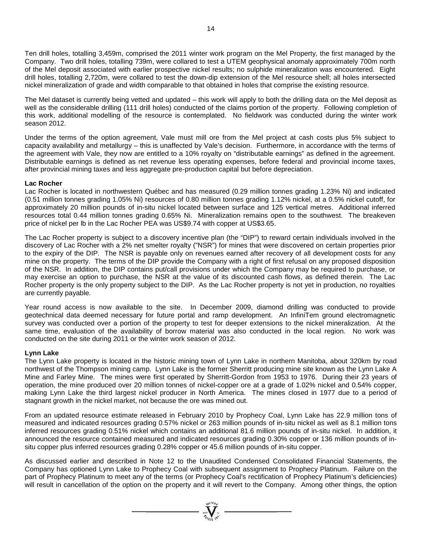Ten drill holes, totalling 3,459m, comprised the 2011 winter work program on the Mel Property, the first managed by the Company. Two drill holes, totalling 739m, were collared to test a UTEM geophysical anomaly approximately 700m north of the Mel deposit associated with earlier prospective nickel results; no sulphide mineralization was encountered. Eight drill holes, totalling 2,720m, were collared to test the down-dip extension of the Mel resource shell; all holes intersected nickel mineralization of grade and width comparable to that obtained in holes that comprise the existing resource.

The Mel dataset is currently being vetted and updated – this work will apply to both the drilling data on the Mel deposit as well as the considerable drilling (111 drill holes) conducted of the claims portion of the property. Following completion of this work, additional modelling of the resource is contemplated. No fieldwork was conducted during the winter work season 2012.

Under the terms of the option agreement, Vale must mill ore from the Mel project at cash costs plus 5% subject to capacity availability and metallurgy – this is unaffected by Vale's decision. Furthermore, in accordance with the terms of the agreement with Vale, they now are entitled to a 10% royalty on "distributable earnings" as defined in the agreement. Distributable earnings is defined as net revenue less operating expenses, before federal and provincial income taxes, after provincial mining taxes and less aggregate pre-production capital but before depreciation.

#### **Lac Rocher**

Lac Rocher is located in northwestern Québec and has measured (0.29 million tonnes grading 1.23% Ni) and indicated (0.51 million tonnes grading 1.05% Ni) resources of 0.80 million tonnes grading 1.12% nickel, at a 0.5% nickel cutoff, for approximately 20 million pounds of in-situ nickel located between surface and 125 vertical metres. Additional inferred resources total 0.44 million tonnes grading 0.65% Ni. Mineralization remains open to the southwest. The breakeven price of nickel per lb in the Lac Rocher PEA was US\$9.74 with copper at US\$3.65.

The Lac Rocher property is subject to a discovery incentive plan (the "DIP") to reward certain individuals involved in the discovery of Lac Rocher with a 2% net smelter royalty ("NSR") for mines that were discovered on certain properties prior to the expiry of the DIP. The NSR is payable only on revenues earned after recovery of all development costs for any mine on the property. The terms of the DIP provide the Company with a right of first refusal on any proposed disposition of the NSR. In addition, the DIP contains put/call provisions under which the Company may be required to purchase, or may exercise an option to purchase, the NSR at the value of its discounted cash flows, as defined therein. The Lac Rocher property is the only property subject to the DIP. As the Lac Rocher property is not yet in production, no royalties are currently payable.

Year round access is now available to the site. In December 2009, diamond drilling was conducted to provide geotechnical data deemed necessary for future portal and ramp development. An InfiniTem ground electromagnetic survey was conducted over a portion of the property to test for deeper extensions to the nickel mineralization. At the same time, evaluation of the availability of borrow material was also conducted in the local region. No work was conducted on the site during 2011 or the winter work season of 2012.

#### **Lynn Lake**

The Lynn Lake property is located in the historic mining town of Lynn Lake in northern Manitoba, about 320km by road northwest of the Thompson mining camp. Lynn Lake is the former Sherritt producing mine site known as the Lynn Lake A Mine and Farley Mine. The mines were first operated by Sherritt-Gordon from 1953 to 1976. During their 23 years of operation, the mine produced over 20 million tonnes of nickel-copper ore at a grade of 1.02% nickel and 0.54% copper, making Lynn Lake the third largest nickel producer in North America. The mines closed in 1977 due to a period of stagnant growth in the nickel market, not because the ore was mined out.

From an updated resource estimate released in February 2010 by Prophecy Coal, Lynn Lake has 22.9 million tons of measured and indicated resources grading 0.57% nickel or 263 million pounds of in-situ nickel as well as 8.1 million tons inferred resources grading 0.51% nickel which contains an additional 81.6 million pounds of in-situ nickel. In addition, it announced the resource contained measured and indicated resources grading 0.30% copper or 136 million pounds of insitu copper plus inferred resources grading 0.28% copper or 45.6 million pounds of in-situ copper.

As discussed earlier and described in Note 12 to the Unaudited Condensed Consolidated Financial Statements, the Company has optioned Lynn Lake to Prophecy Coal with subsequent assignment to Prophecy Platinum. Failure on the part of Prophecy Platinum to meet any of the terms (or Prophecy Coal's rectification of Prophecy Platinum's deficiencies) will result in cancellation of the option on the property and it will revert to the Company. Among other things, the option

 $\sum_{\substack{i=1\\ \text{min} \text{ } j}}^{\text{min}} \sum_{\substack{i=1\\ \text{min} \text{ } j}}^{\text{min}} =$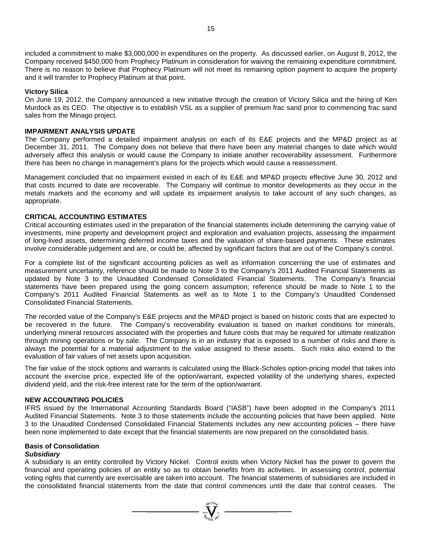included a commitment to make \$3,000,000 in expenditures on the property. As discussed earlier, on August 8, 2012, the Company received \$450,000 from Prophecy Platinum in consideration for waiving the remaining expenditure commitment. There is no reason to believe that Prophecy Platinum will not meet its remaining option payment to acquire the property and it will transfer to Prophecy Platinum at that point.

#### **Victory Silica**

On June 19, 2012, the Company announced a new initiative through the creation of Victory Silica and the hiring of Ken Murdock as its CEO. The objective is to establish VSL as a supplier of premium frac sand prior to commencing frac sand sales from the Minago project.

#### **IMPAIRMENT ANALYSIS UPDATE**

The Company performed a detailed impairment analysis on each of its E&E projects and the MP&D project as at December 31, 2011. The Company does not believe that there have been any material changes to date which would adversely affect this analysis or would cause the Company to initiate another recoverability assessment. Furthermore there has been no change in management's plans for the projects which would cause a reassessment.

Management concluded that no impairment existed in each of its E&E and MP&D projects effective June 30, 2012 and that costs incurred to date are recoverable. The Company will continue to monitor developments as they occur in the metals markets and the economy and will update its impairment analysis to take account of any such changes, as appropriate.

#### **CRITICAL ACCOUNTING ESTIMATES**

Critical accounting estimates used in the preparation of the financial statements include determining the carrying value of investments, mine property and development project and exploration and evaluation projects, assessing the impairment of long-lived assets, determining deferred income taxes and the valuation of share-based payments. These estimates involve considerable judgement and are, or could be, affected by significant factors that are out of the Company's control.

For a complete list of the significant accounting policies as well as information concerning the use of estimates and measurement uncertainty, reference should be made to Note 3 to the Company's 2011 Audited Financial Statements as updated by Note 3 to the Unaudited Condensed Consolidated Financial Statements. The Company's financial statements have been prepared using the going concern assumption; reference should be made to Note 1 to the Company's 2011 Audited Financial Statements as well as to Note 1 to the Company's Unaudited Condensed Consolidated Financial Statements.

The recorded value of the Company's E&E projects and the MP&D project is based on historic costs that are expected to be recovered in the future. The Company's recoverability evaluation is based on market conditions for minerals, underlying mineral resources associated with the properties and future costs that may be required for ultimate realization through mining operations or by sale. The Company is in an industry that is exposed to a number of risks and there is always the potential for a material adjustment to the value assigned to these assets. Such risks also extend to the evaluation of fair values of net assets upon acquisition.

The fair value of the stock options and warrants is calculated using the Black-Scholes option-pricing model that takes into account the exercise price, expected life of the option/warrant, expected volatility of the underlying shares, expected dividend yield, and the risk-free interest rate for the term of the option/warrant.

#### **NEW ACCOUNTING POLICIES**

IFRS issued by the International Accounting Standards Board ("IASB") have been adopted in the Company's 2011 Audited Financial Statements. Note 3 to those statements include the accounting policies that have been applied. Note 3 to the Unaudited Condensed Consolidated Financial Statements includes any new accounting policies – there have been none implemented to date except that the financial statements are now prepared on the consolidated basis.

#### **Basis of Consolidation**

#### *Subsidiary*

A subsidiary is an entity controlled by Victory Nickel. Control exists when Victory Nickel has the power to govern the financial and operating policies of an entity so as to obtain benefits from its activities. In assessing control, potential voting rights that currently are exercisable are taken into account. The financial statements of subsidiaries are included in the consolidated financial statements from the date that control commences until the date that control ceases. The

 $\sum_{2007}$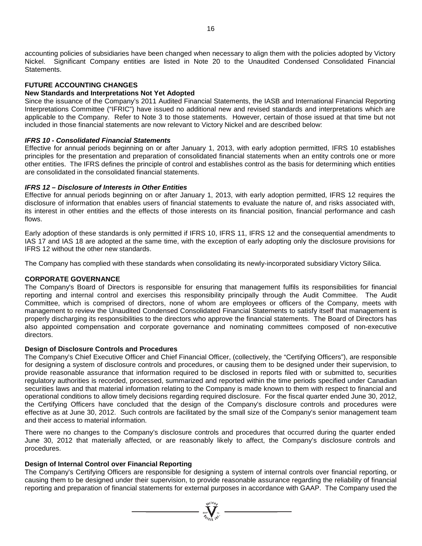accounting policies of subsidiaries have been changed when necessary to align them with the policies adopted by Victory Nickel. Significant Company entities are listed in Note 20 to the Unaudited Condensed Consolidated Financial Statements.

### **FUTURE ACCOUNTING CHANGES**

#### **New Standards and Interpretations Not Yet Adopted**

Since the issuance of the Company's 2011 Audited Financial Statements, the IASB and International Financial Reporting Interpretations Committee ("IFRIC") have issued no additional new and revised standards and interpretations which are applicable to the Company. Refer to Note 3 to those statements. However, certain of those issued at that time but not included in those financial statements are now relevant to Victory Nickel and are described below:

#### *IFRS 10 - Consolidated Financial Statements*

Effective for annual periods beginning on or after January 1, 2013, with early adoption permitted, IFRS 10 establishes principles for the presentation and preparation of consolidated financial statements when an entity controls one or more other entities. The IFRS defines the principle of control and establishes control as the basis for determining which entities are consolidated in the consolidated financial statements.

#### *IFRS 12 – Disclosure of Interests in Other Entities*

Effective for annual periods beginning on or after January 1, 2013, with early adoption permitted, IFRS 12 requires the disclosure of information that enables users of financial statements to evaluate the nature of, and risks associated with, its interest in other entities and the effects of those interests on its financial position, financial performance and cash flows.

Early adoption of these standards is only permitted if IFRS 10, IFRS 11, IFRS 12 and the consequential amendments to IAS 17 and IAS 18 are adopted at the same time, with the exception of early adopting only the disclosure provisions for IFRS 12 without the other new standards.

The Company has complied with these standards when consolidating its newly-incorporated subsidiary Victory Silica.

#### **CORPORATE GOVERNANCE**

The Company's Board of Directors is responsible for ensuring that management fulfils its responsibilities for financial reporting and internal control and exercises this responsibility principally through the Audit Committee. The Audit Committee, which is comprised of directors, none of whom are employees or officers of the Company, meets with management to review the Unaudited Condensed Consolidated Financial Statements to satisfy itself that management is properly discharging its responsibilities to the directors who approve the financial statements. The Board of Directors has also appointed compensation and corporate governance and nominating committees composed of non-executive directors.

#### **Design of Disclosure Controls and Procedures**

The Company's Chief Executive Officer and Chief Financial Officer, (collectively, the "Certifying Officers"), are responsible for designing a system of disclosure controls and procedures, or causing them to be designed under their supervision, to provide reasonable assurance that information required to be disclosed in reports filed with or submitted to, securities regulatory authorities is recorded, processed, summarized and reported within the time periods specified under Canadian securities laws and that material information relating to the Company is made known to them with respect to financial and operational conditions to allow timely decisions regarding required disclosure. For the fiscal quarter ended June 30, 2012, the Certifying Officers have concluded that the design of the Company's disclosure controls and procedures were effective as at June 30, 2012. Such controls are facilitated by the small size of the Company's senior management team and their access to material information.

There were no changes to the Company's disclosure controls and procedures that occurred during the quarter ended June 30, 2012 that materially affected, or are reasonably likely to affect, the Company's disclosure controls and procedures.

#### **Design of Internal Control over Financial Reporting**

The Company's Certifying Officers are responsible for designing a system of internal controls over financial reporting, or causing them to be designed under their supervision, to provide reasonable assurance regarding the reliability of financial reporting and preparation of financial statements for external purposes in accordance with GAAP. The Company used the

 $\sum_{2007}$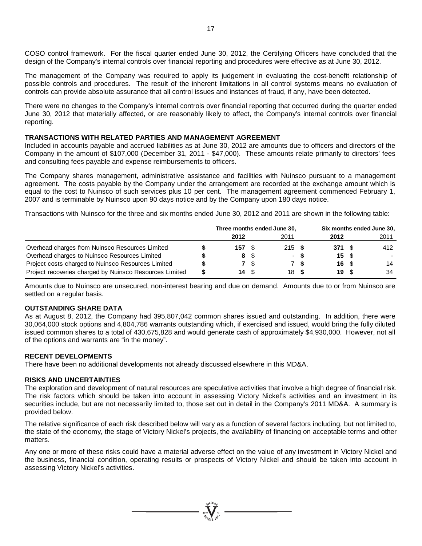COSO control framework. For the fiscal quarter ended June 30, 2012, the Certifying Officers have concluded that the design of the Company's internal controls over financial reporting and procedures were effective as at June 30, 2012.

The management of the Company was required to apply its judgement in evaluating the cost-benefit relationship of possible controls and procedures. The result of the inherent limitations in all control systems means no evaluation of controls can provide absolute assurance that all control issues and instances of fraud, if any, have been detected.

There were no changes to the Company's internal controls over financial reporting that occurred during the quarter ended June 30, 2012 that materially affected, or are reasonably likely to affect, the Company's internal controls over financial reporting.

#### **TRANSACTIONS WITH RELATED PARTIES AND MANAGEMENT AGREEMENT**

Included in accounts payable and accrued liabilities as at June 30, 2012 are amounts due to officers and directors of the Company in the amount of \$107,000 (December 31, 2011 - \$47,000). These amounts relate primarily to directors' fees and consulting fees payable and expense reimbursements to officers.

The Company shares management, administrative assistance and facilities with Nuinsco pursuant to a management agreement. The costs payable by the Company under the arrangement are recorded at the exchange amount which is equal to the cost to Nuinsco of such services plus 10 per cent. The management agreement commenced February 1, 2007 and is terminable by Nuinsco upon 90 days notice and by the Company upon 180 days notice.

Transactions with Nuinsco for the three and six months ended June 30, 2012 and 2011 are shown in the following table:

|                                                         |   |                          | Three months ended June 30, | Six months ended June 30, |     |       |  |        |
|---------------------------------------------------------|---|--------------------------|-----------------------------|---------------------------|-----|-------|--|--------|
|                                                         |   | 2012                     |                             | 2011                      |     | 2012  |  | 2011   |
| Overhead charges from Nuinsco Resources Limited         |   | $157 \tS$                |                             | 215S                      |     | 371 S |  | 412    |
| Overhead charges to Nuinsco Resources Limited           |   |                          | 8 \$                        | $\sim$                    |     | 15S   |  | $\sim$ |
| Project costs charged to Nuinsco Resources Limited      |   |                          | <b>7</b> \$                 |                           | 7 S | 16 S  |  | 14     |
| Project recoveries charged by Nuinsco Resources Limited | S | $14 \quad$ $\frac{1}{3}$ |                             | 18 S                      |     | 19 S  |  | 34     |

Amounts due to Nuinsco are unsecured, non-interest bearing and due on demand. Amounts due to or from Nuinsco are settled on a regular basis.

#### **OUTSTANDING SHARE DATA**

As at August 8, 2012, the Company had 395,807,042 common shares issued and outstanding. In addition, there were 30,064,000 stock options and 4,804,786 warrants outstanding which, if exercised and issued, would bring the fully diluted issued common shares to a total of 430,675,828 and would generate cash of approximately \$4,930,000. However, not all of the options and warrants are "in the money".

#### **RECENT DEVELOPMENTS**

There have been no additional developments not already discussed elsewhere in this MD&A.

#### **RISKS AND UNCERTAINTIES**

The exploration and development of natural resources are speculative activities that involve a high degree of financial risk. The risk factors which should be taken into account in assessing Victory Nickel's activities and an investment in its securities include, but are not necessarily limited to, those set out in detail in the Company's 2011 MD&A. A summary is provided below.

The relative significance of each risk described below will vary as a function of several factors including, but not limited to, the state of the economy, the stage of Victory Nickel's projects, the availability of financing on acceptable terms and other matters.

Any one or more of these risks could have a material adverse effect on the value of any investment in Victory Nickel and the business, financial condition, operating results or prospects of Victory Nickel and should be taken into account in assessing Victory Nickel's activities.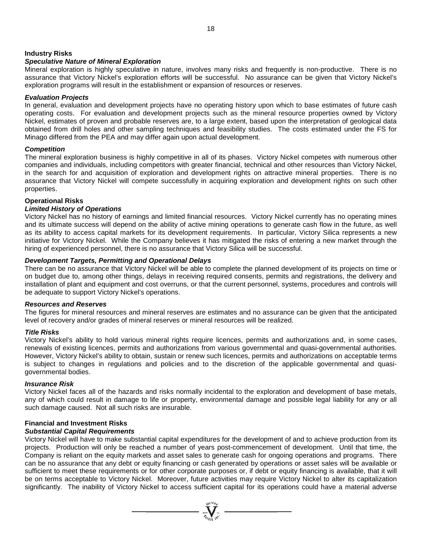#### **Industry Risks**

#### *Speculative Nature of Mineral Exploration*

Mineral exploration is highly speculative in nature, involves many risks and frequently is non-productive. There is no assurance that Victory Nickel's exploration efforts will be successful. No assurance can be given that Victory Nickel's exploration programs will result in the establishment or expansion of resources or reserves.

#### *Evaluation Projects*

In general, evaluation and development projects have no operating history upon which to base estimates of future cash operating costs. For evaluation and development projects such as the mineral resource properties owned by Victory Nickel, estimates of proven and probable reserves are, to a large extent, based upon the interpretation of geological data obtained from drill holes and other sampling techniques and feasibility studies. The costs estimated under the FS for Minago differed from the PEA and may differ again upon actual development.

#### *Competition*

The mineral exploration business is highly competitive in all of its phases. Victory Nickel competes with numerous other companies and individuals, including competitors with greater financial, technical and other resources than Victory Nickel, in the search for and acquisition of exploration and development rights on attractive mineral properties. There is no assurance that Victory Nickel will compete successfully in acquiring exploration and development rights on such other properties.

#### **Operational Risks**

### *Limited History of Operations*

Victory Nickel has no history of earnings and limited financial resources. Victory Nickel currently has no operating mines and its ultimate success will depend on the ability of active mining operations to generate cash flow in the future, as well as its ability to access capital markets for its development requirements. In particular, Victory Silica represents a new initiative for Victory Nickel. While the Company believes it has mitigated the risks of entering a new market through the hiring of experienced personnel, there is no assurance that Victory Silica will be successful.

#### *Development Targets, Permitting and Operational Delays*

There can be no assurance that Victory Nickel will be able to complete the planned development of its projects on time or on budget due to, among other things, delays in receiving required consents, permits and registrations, the delivery and installation of plant and equipment and cost overruns, or that the current personnel, systems, procedures and controls will be adequate to support Victory Nickel's operations.

#### *Resources and Reserves*

The figures for mineral resources and mineral reserves are estimates and no assurance can be given that the anticipated level of recovery and/or grades of mineral reserves or mineral resources will be realized.

#### *Title Risks*

Victory Nickel's ability to hold various mineral rights require licences, permits and authorizations and, in some cases, renewals of existing licences, permits and authorizations from various governmental and quasi-governmental authorities. However, Victory Nickel's ability to obtain, sustain or renew such licences, permits and authorizations on acceptable terms is subject to changes in regulations and policies and to the discretion of the applicable governmental and quasigovernmental bodies.

#### *Insurance Risk*

Victory Nickel faces all of the hazards and risks normally incidental to the exploration and development of base metals, any of which could result in damage to life or property, environmental damage and possible legal liability for any or all such damage caused. Not all such risks are insurable.

#### **Financial and Investment Risks**

#### *Substantial Capital Requirements*

Victory Nickel will have to make substantial capital expenditures for the development of and to achieve production from its projects. Production will only be reached a number of years post-commencement of development. Until that time, the Company is reliant on the equity markets and asset sales to generate cash for ongoing operations and programs. There can be no assurance that any debt or equity financing or cash generated by operations or asset sales will be available or sufficient to meet these requirements or for other corporate purposes or, if debt or equity financing is available, that it will be on terms acceptable to Victory Nickel. Moreover, future activities may require Victory Nickel to alter its capitalization significantly. The inability of Victory Nickel to access sufficient capital for its operations could have a material adverse

 $\sum_{\substack{n=1\\ \tau_i,\ldots,\tau_k}}^{n=0,1}$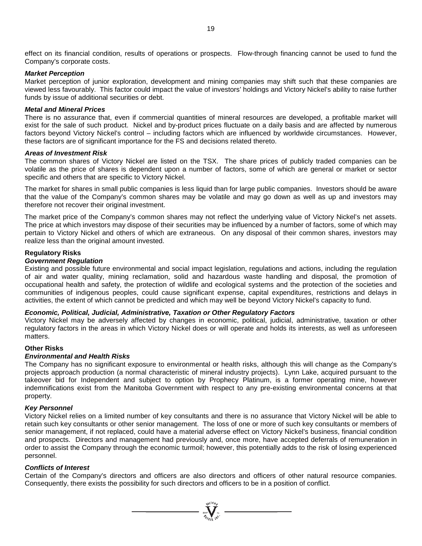effect on its financial condition, results of operations or prospects. Flow-through financing cannot be used to fund the Company's corporate costs.

#### *Market Perception*

Market perception of junior exploration, development and mining companies may shift such that these companies are viewed less favourably. This factor could impact the value of investors' holdings and Victory Nickel's ability to raise further funds by issue of additional securities or debt.

#### *Metal and Mineral Prices*

There is no assurance that, even if commercial quantities of mineral resources are developed, a profitable market will exist for the sale of such product. Nickel and by-product prices fluctuate on a daily basis and are affected by numerous factors beyond Victory Nickel's control – including factors which are influenced by worldwide circumstances. However, these factors are of significant importance for the FS and decisions related thereto.

#### *Areas of Investment Risk*

The common shares of Victory Nickel are listed on the TSX. The share prices of publicly traded companies can be volatile as the price of shares is dependent upon a number of factors, some of which are general or market or sector specific and others that are specific to Victory Nickel.

The market for shares in small public companies is less liquid than for large public companies. Investors should be aware that the value of the Company's common shares may be volatile and may go down as well as up and investors may therefore not recover their original investment.

The market price of the Company's common shares may not reflect the underlying value of Victory Nickel's net assets. The price at which investors may dispose of their securities may be influenced by a number of factors, some of which may pertain to Victory Nickel and others of which are extraneous. On any disposal of their common shares, investors may realize less than the original amount invested.

#### **Regulatory Risks**

#### *Government Regulation*

Existing and possible future environmental and social impact legislation, regulations and actions, including the regulation of air and water quality, mining reclamation, solid and hazardous waste handling and disposal, the promotion of occupational health and safety, the protection of wildlife and ecological systems and the protection of the societies and communities of indigenous peoples, could cause significant expense, capital expenditures, restrictions and delays in activities, the extent of which cannot be predicted and which may well be beyond Victory Nickel's capacity to fund.

#### *Economic, Political, Judicial, Administrative, Taxation or Other Regulatory Factors*

Victory Nickel may be adversely affected by changes in economic, political, judicial, administrative, taxation or other regulatory factors in the areas in which Victory Nickel does or will operate and holds its interests, as well as unforeseen matters.

#### **Other Risks**

#### *Environmental and Health Risks*

The Company has no significant exposure to environmental or health risks, although this will change as the Company's projects approach production (a normal characteristic of mineral industry projects). Lynn Lake, acquired pursuant to the takeover bid for Independent and subject to option by Prophecy Platinum, is a former operating mine, however indemnifications exist from the Manitoba Government with respect to any pre-existing environmental concerns at that property.

#### *Key Personnel*

Victory Nickel relies on a limited number of key consultants and there is no assurance that Victory Nickel will be able to retain such key consultants or other senior management. The loss of one or more of such key consultants or members of senior management, if not replaced, could have a material adverse effect on Victory Nickel's business, financial condition and prospects. Directors and management had previously and, once more, have accepted deferrals of remuneration in order to assist the Company through the economic turmoil; however, this potentially adds to the risk of losing experienced personnel.

#### *Conflicts of Interest*

Certain of the Company's directors and officers are also directors and officers of other natural resource companies. Consequently, there exists the possibility for such directors and officers to be in a position of conflict.

 $\sum_{\substack{\text{SUSY}\\ \text{SUSY}}}$